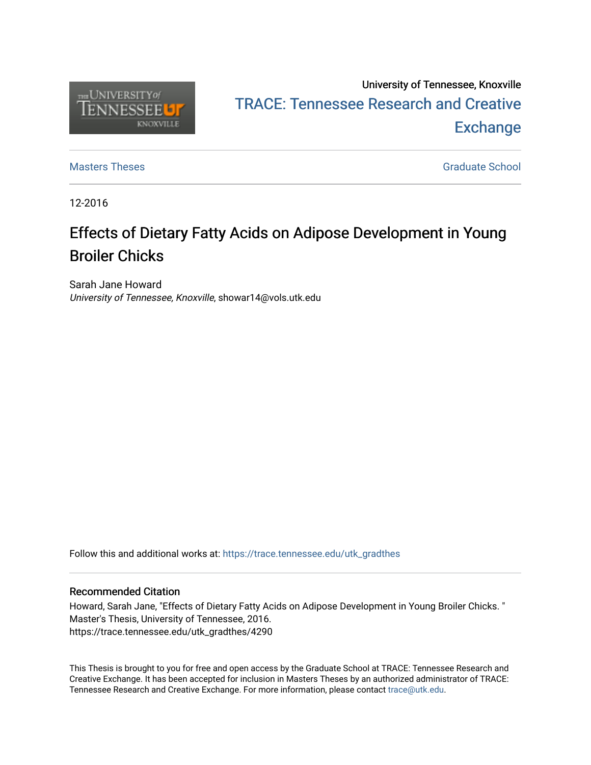

# University of Tennessee, Knoxville TRACE: T[ennessee Research and Cr](https://trace.tennessee.edu/)eative **Exchange**

[Masters Theses](https://trace.tennessee.edu/utk_gradthes) [Graduate School](https://trace.tennessee.edu/utk-grad) Control of the Masters Theses Graduate School Control of the Masters of the Masters of the Masters of the Masters of the Masters of the Masters of the Masters of the Masters of the Masters of

12-2016

# Effects of Dietary Fatty Acids on Adipose Development in Young Broiler Chicks

Sarah Jane Howard University of Tennessee, Knoxville, showar14@vols.utk.edu

Follow this and additional works at: [https://trace.tennessee.edu/utk\\_gradthes](https://trace.tennessee.edu/utk_gradthes?utm_source=trace.tennessee.edu%2Futk_gradthes%2F4290&utm_medium=PDF&utm_campaign=PDFCoverPages) 

#### Recommended Citation

Howard, Sarah Jane, "Effects of Dietary Fatty Acids on Adipose Development in Young Broiler Chicks. " Master's Thesis, University of Tennessee, 2016. https://trace.tennessee.edu/utk\_gradthes/4290

This Thesis is brought to you for free and open access by the Graduate School at TRACE: Tennessee Research and Creative Exchange. It has been accepted for inclusion in Masters Theses by an authorized administrator of TRACE: Tennessee Research and Creative Exchange. For more information, please contact [trace@utk.edu](mailto:trace@utk.edu).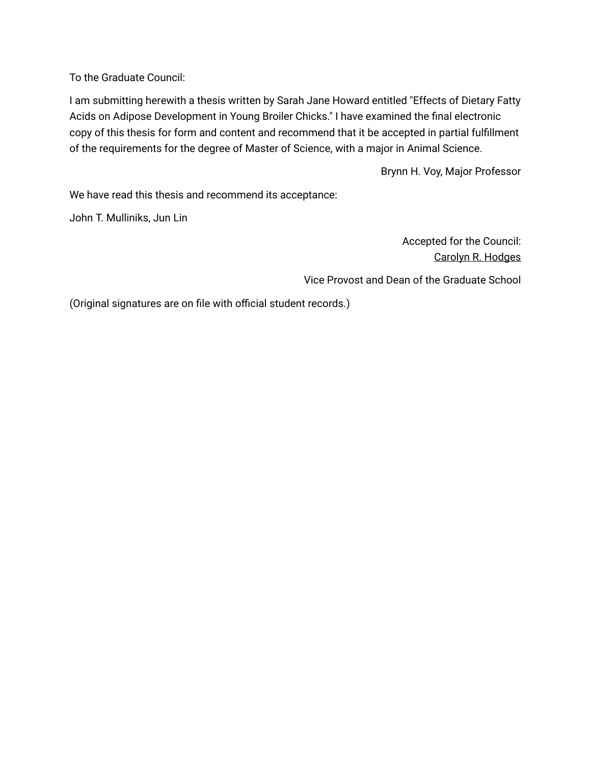To the Graduate Council:

I am submitting herewith a thesis written by Sarah Jane Howard entitled "Effects of Dietary Fatty Acids on Adipose Development in Young Broiler Chicks." I have examined the final electronic copy of this thesis for form and content and recommend that it be accepted in partial fulfillment of the requirements for the degree of Master of Science, with a major in Animal Science.

Brynn H. Voy, Major Professor

We have read this thesis and recommend its acceptance:

John T. Mulliniks, Jun Lin

Accepted for the Council: Carolyn R. Hodges

Vice Provost and Dean of the Graduate School

(Original signatures are on file with official student records.)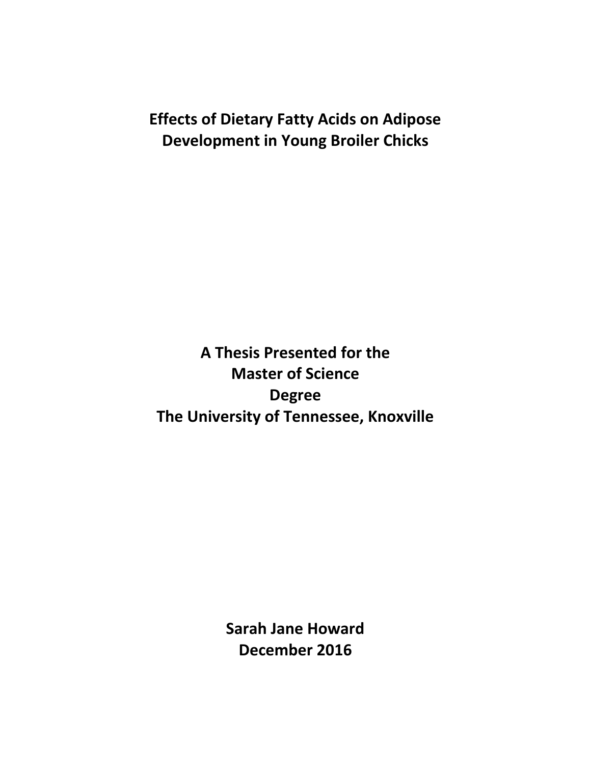# **Effects of Dietary Fatty Acids on Adipose Development in Young Broiler Chicks**

**A Thesis Presented for the Master of Science Degree The University of Tennessee, Knoxville**

> **Sarah Jane Howard December 2016**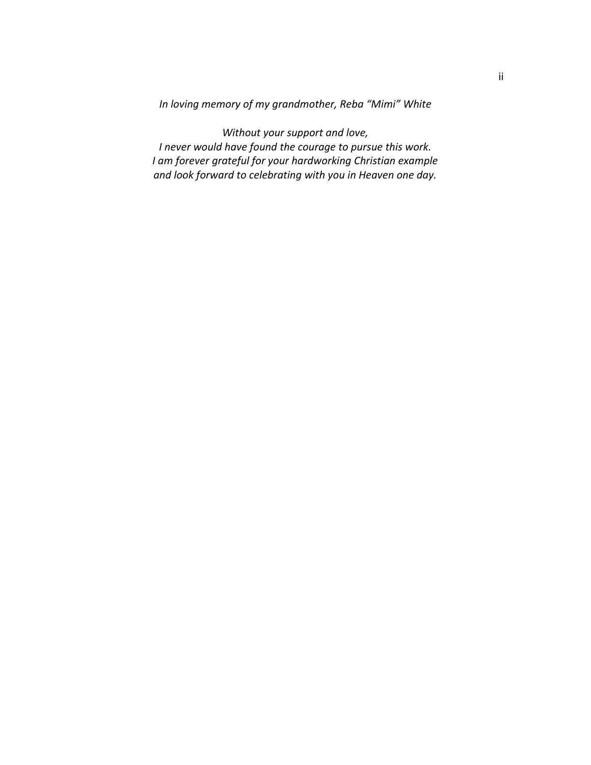*In loving memory of my grandmother, Reba "Mimi" White*

*Without your support and love, I never would have found the courage to pursue this work. I am forever grateful for your hardworking Christian example and look forward to celebrating with you in Heaven one day.*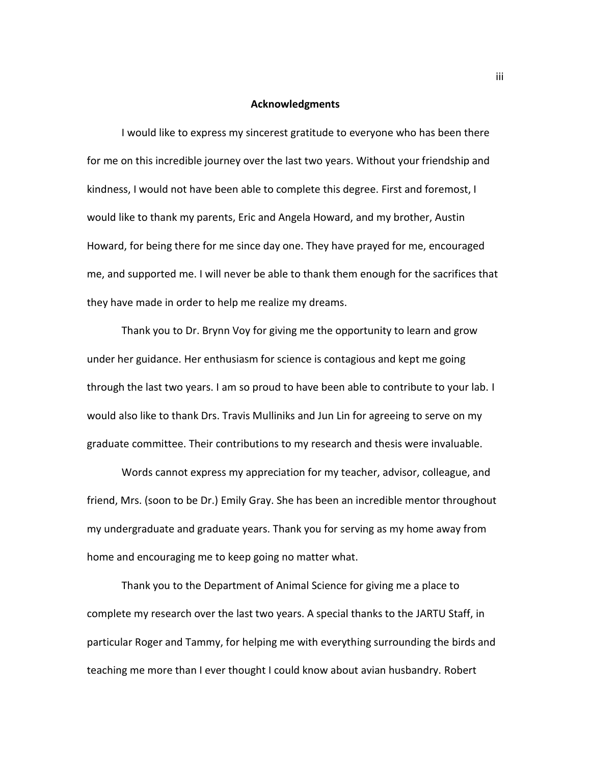#### **Acknowledgments**

I would like to express my sincerest gratitude to everyone who has been there for me on this incredible journey over the last two years. Without your friendship and kindness, I would not have been able to complete this degree. First and foremost, I would like to thank my parents, Eric and Angela Howard, and my brother, Austin Howard, for being there for me since day one. They have prayed for me, encouraged me, and supported me. I will never be able to thank them enough for the sacrifices that they have made in order to help me realize my dreams.

Thank you to Dr. Brynn Voy for giving me the opportunity to learn and grow under her guidance. Her enthusiasm for science is contagious and kept me going through the last two years. I am so proud to have been able to contribute to your lab. I would also like to thank Drs. Travis Mulliniks and Jun Lin for agreeing to serve on my graduate committee. Their contributions to my research and thesis were invaluable.

Words cannot express my appreciation for my teacher, advisor, colleague, and friend, Mrs. (soon to be Dr.) Emily Gray. She has been an incredible mentor throughout my undergraduate and graduate years. Thank you for serving as my home away from home and encouraging me to keep going no matter what.

Thank you to the Department of Animal Science for giving me a place to complete my research over the last two years. A special thanks to the JARTU Staff, in particular Roger and Tammy, for helping me with everything surrounding the birds and teaching me more than I ever thought I could know about avian husbandry. Robert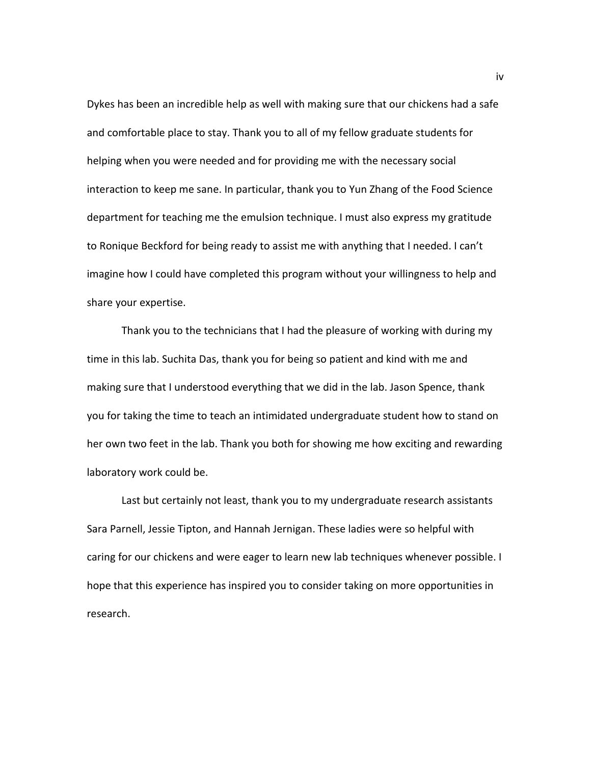Dykes has been an incredible help as well with making sure that our chickens had a safe and comfortable place to stay. Thank you to all of my fellow graduate students for helping when you were needed and for providing me with the necessary social interaction to keep me sane. In particular, thank you to Yun Zhang of the Food Science department for teaching me the emulsion technique. I must also express my gratitude to Ronique Beckford for being ready to assist me with anything that I needed. I can't imagine how I could have completed this program without your willingness to help and share your expertise.

Thank you to the technicians that I had the pleasure of working with during my time in this lab. Suchita Das, thank you for being so patient and kind with me and making sure that I understood everything that we did in the lab. Jason Spence, thank you for taking the time to teach an intimidated undergraduate student how to stand on her own two feet in the lab. Thank you both for showing me how exciting and rewarding laboratory work could be.

Last but certainly not least, thank you to my undergraduate research assistants Sara Parnell, Jessie Tipton, and Hannah Jernigan. These ladies were so helpful with caring for our chickens and were eager to learn new lab techniques whenever possible. I hope that this experience has inspired you to consider taking on more opportunities in research.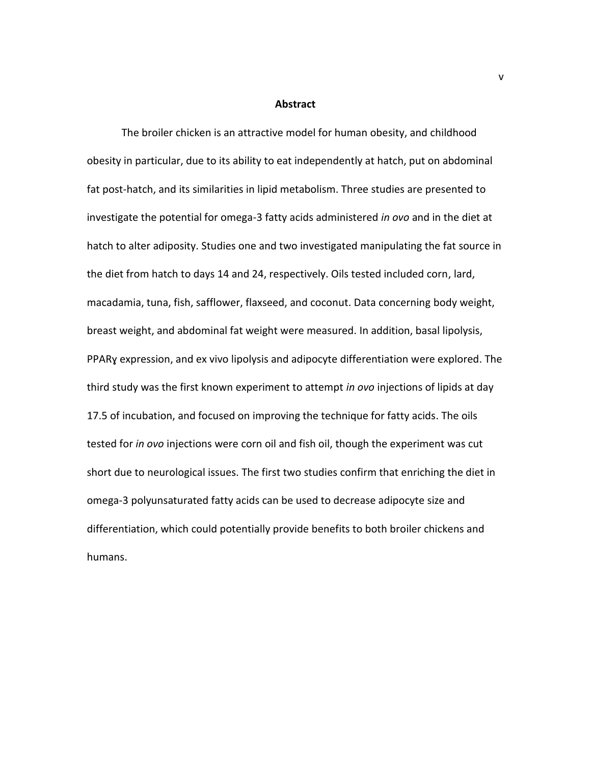#### **Abstract**

The broiler chicken is an attractive model for human obesity, and childhood obesity in particular, due to its ability to eat independently at hatch, put on abdominal fat post-hatch, and its similarities in lipid metabolism. Three studies are presented to investigate the potential for omega-3 fatty acids administered *in ovo* and in the diet at hatch to alter adiposity. Studies one and two investigated manipulating the fat source in the diet from hatch to days 14 and 24, respectively. Oils tested included corn, lard, macadamia, tuna, fish, safflower, flaxseed, and coconut. Data concerning body weight, breast weight, and abdominal fat weight were measured. In addition, basal lipolysis, PPARɣ expression, and ex vivo lipolysis and adipocyte differentiation were explored. The third study was the first known experiment to attempt *in ovo* injections of lipids at day 17.5 of incubation, and focused on improving the technique for fatty acids. The oils tested for *in ovo* injections were corn oil and fish oil, though the experiment was cut short due to neurological issues. The first two studies confirm that enriching the diet in omega-3 polyunsaturated fatty acids can be used to decrease adipocyte size and differentiation, which could potentially provide benefits to both broiler chickens and humans.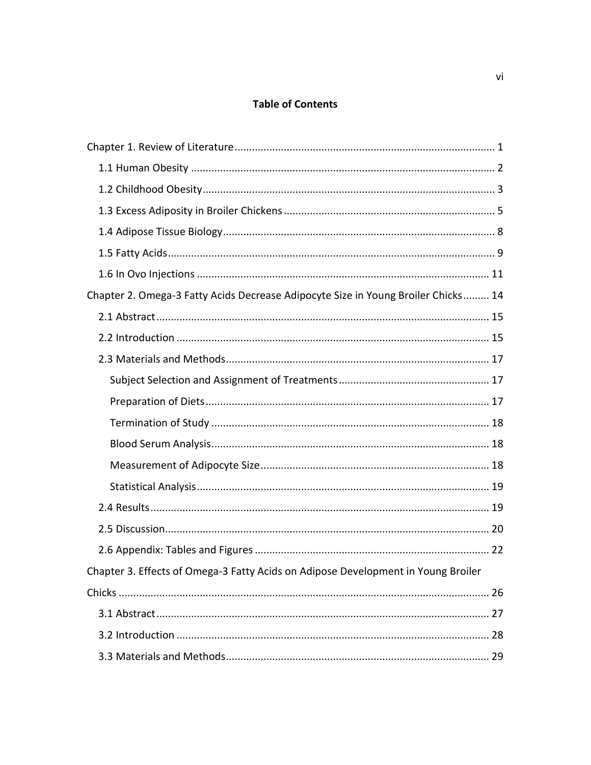### **Table of Contents**

| Chapter 2. Omega-3 Fatty Acids Decrease Adipocyte Size in Young Broiler Chicks 14 |  |
|-----------------------------------------------------------------------------------|--|
|                                                                                   |  |
|                                                                                   |  |
|                                                                                   |  |
|                                                                                   |  |
|                                                                                   |  |
|                                                                                   |  |
|                                                                                   |  |
|                                                                                   |  |
|                                                                                   |  |
|                                                                                   |  |
|                                                                                   |  |
|                                                                                   |  |
| Chapter 3. Effects of Omega-3 Fatty Acids on Adipose Development in Young Broiler |  |
|                                                                                   |  |
|                                                                                   |  |
|                                                                                   |  |
|                                                                                   |  |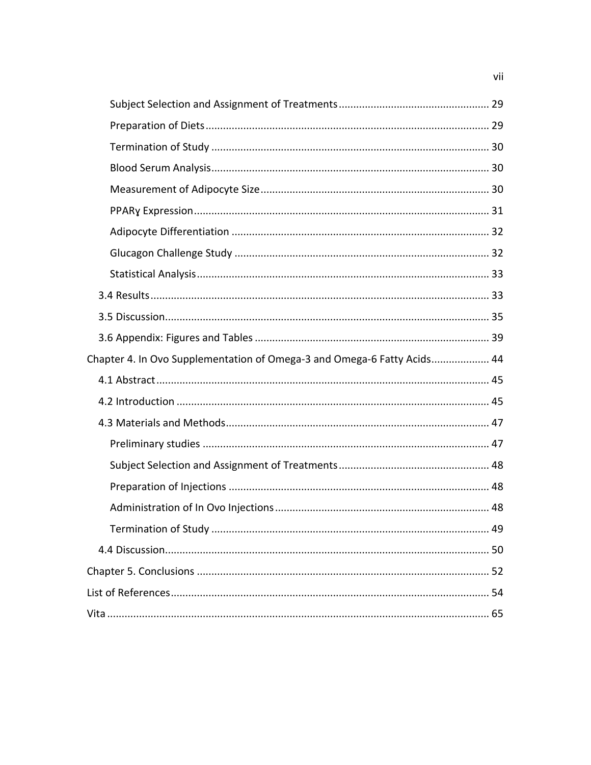| Chapter 4. In Ovo Supplementation of Omega-3 and Omega-6 Fatty Acids 44 |  |
|-------------------------------------------------------------------------|--|
|                                                                         |  |
|                                                                         |  |
|                                                                         |  |
|                                                                         |  |
|                                                                         |  |
|                                                                         |  |
|                                                                         |  |
|                                                                         |  |
|                                                                         |  |
|                                                                         |  |
|                                                                         |  |
|                                                                         |  |

vii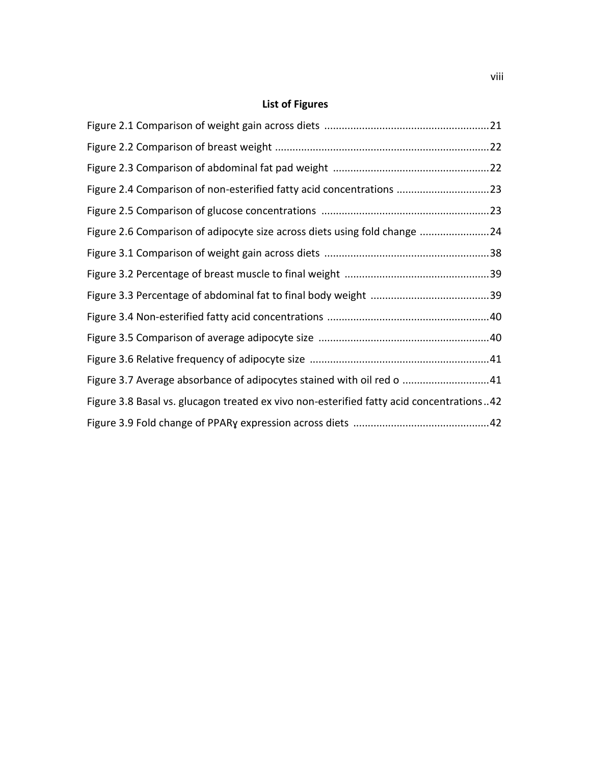## **List of Figures**

| Figure 2.4 Comparison of non-esterified fatty acid concentrations 23                     |  |
|------------------------------------------------------------------------------------------|--|
|                                                                                          |  |
| Figure 2.6 Comparison of adipocyte size across diets using fold change 24                |  |
|                                                                                          |  |
|                                                                                          |  |
|                                                                                          |  |
|                                                                                          |  |
|                                                                                          |  |
|                                                                                          |  |
| Figure 3.7 Average absorbance of adipocytes stained with oil red o 41                    |  |
| Figure 3.8 Basal vs. glucagon treated ex vivo non-esterified fatty acid concentrations42 |  |
|                                                                                          |  |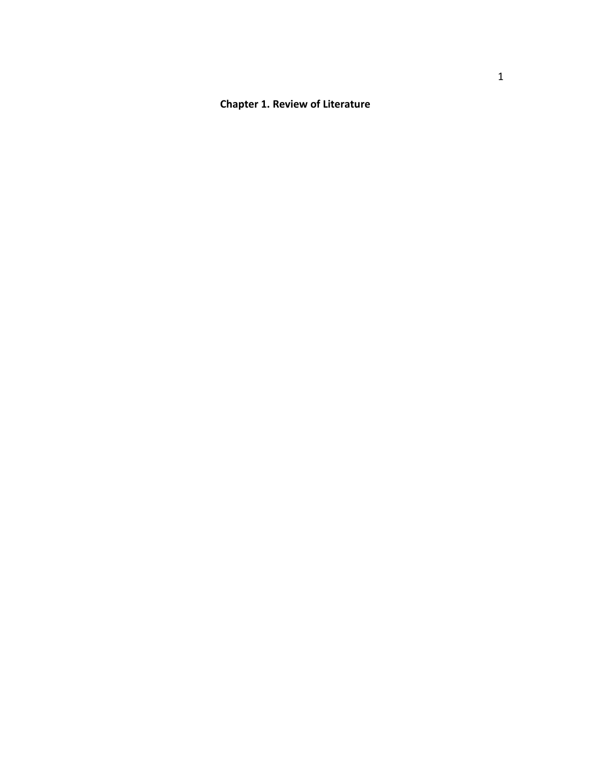## **Chapter 1. Review of Literature**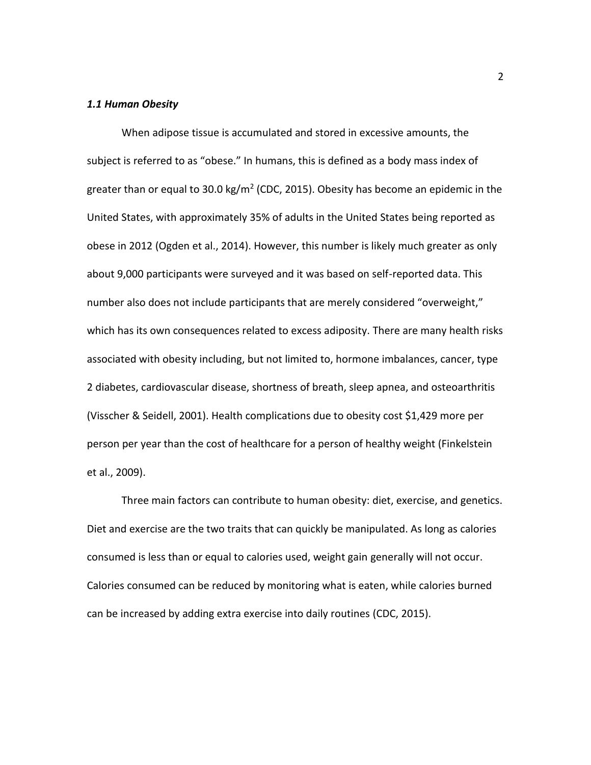#### *1.1 Human Obesity*

When adipose tissue is accumulated and stored in excessive amounts, the subject is referred to as "obese." In humans, this is defined as a body mass index of greater than or equal to 30.0 kg/m<sup>2</sup> [\(CDC, 2015\)](#page-64-0). Obesity has become an epidemic in the United States, with approximately 35% of adults in the United States being reported as obese in 2012 [\(Ogden et al., 2014\)](#page-69-0). However, this number is likely much greater as only about 9,000 participants were surveyed and it was based on self-reported data. This number also does not include participants that are merely considered "overweight," which has its own consequences related to excess adiposity. There are many health risks associated with obesity including, but not limited to, hormone imbalances, cancer, type 2 diabetes, cardiovascular disease, shortness of breath, sleep apnea, and osteoarthritis [\(Visscher & Seidell, 2001\)](#page-72-0). Health complications due to obesity cost \$1,429 more per person per year than the cost of healthcare for a person of healthy weight [\(Finkelstein](#page-64-1)  [et al., 2009\)](#page-64-1).

Three main factors can contribute to human obesity: diet, exercise, and genetics. Diet and exercise are the two traits that can quickly be manipulated. As long as calories consumed is less than or equal to calories used, weight gain generally will not occur. Calories consumed can be reduced by monitoring what is eaten, while calories burned can be increased by adding extra exercise into daily routines [\(CDC, 2015\)](#page-64-0).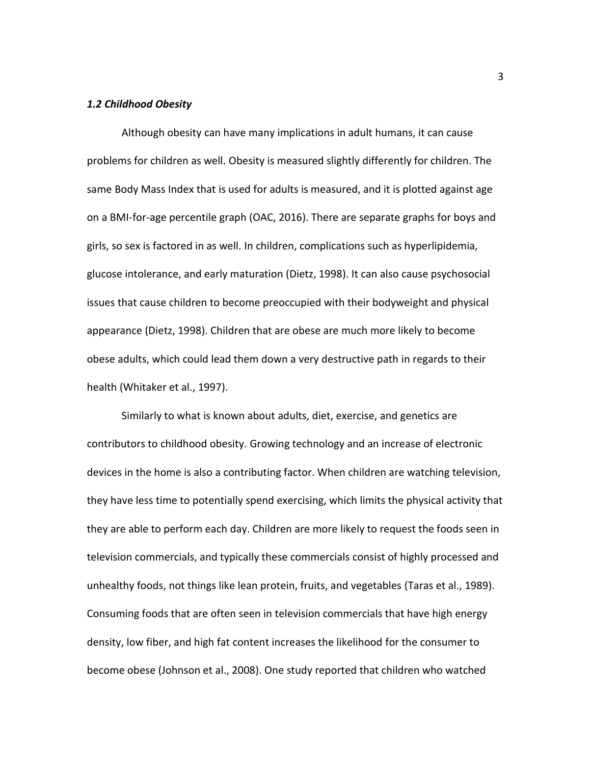#### *1.2 Childhood Obesity*

Although obesity can have many implications in adult humans, it can cause problems for children as well. Obesity is measured slightly differently for children. The same Body Mass Index that is used for adults is measured, and it is plotted against age on a BMI-for-age percentile graph [\(OAC, 2016\)](#page-69-1). There are separate graphs for boys and girls, so sex is factored in as well. In children, complications such as hyperlipidemia, glucose intolerance, and early maturation [\(Dietz, 1998\)](#page-64-2). It can also cause psychosocial issues that cause children to become preoccupied with their bodyweight and physical appearance [\(Dietz, 1998\)](#page-64-2). Children that are obese are much more likely to become obese adults, which could lead them down a very destructive path in regards to their health [\(Whitaker et al., 1997\)](#page-72-1).

Similarly to what is known about adults, diet, exercise, and genetics are contributors to childhood obesity. Growing technology and an increase of electronic devices in the home is also a contributing factor. When children are watching television, they have less time to potentially spend exercising, which limits the physical activity that they are able to perform each day. Children are more likely to request the foods seen in television commercials, and typically these commercials consist of highly processed and unhealthy foods, not things like lean protein, fruits, and vegetables [\(Taras et al., 1989\)](#page-71-0). Consuming foods that are often seen in television commercials that have high energy density, low fiber, and high fat content increases the likelihood for the consumer to become obese [\(Johnson et al., 2008\)](#page-67-0). One study reported that children who watched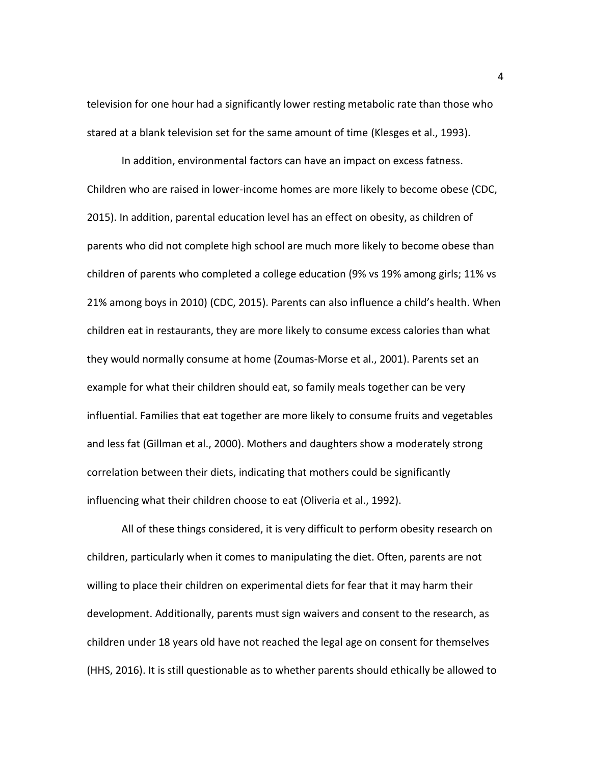television for one hour had a significantly lower resting metabolic rate than those who stared at a blank television set for the same amount of time [\(Klesges et al., 1993\)](#page-67-1).

In addition, environmental factors can have an impact on excess fatness. Children who are raised in lower-income homes are more likely to become obese [\(CDC,](#page-64-0)  [2015\)](#page-64-0). In addition, parental education level has an effect on obesity, as children of parents who did not complete high school are much more likely to become obese than children of parents who completed a college education (9% vs 19% among girls; 11% vs 21% among boys in 2010) [\(CDC, 2015\)](#page-64-0). Parents can also influence a child's health. When children eat in restaurants, they are more likely to consume excess calories than what they would normally consume at home [\(Zoumas-Morse et al., 2001\)](#page-73-0). Parents set an example for what their children should eat, so family meals together can be very influential. Families that eat together are more likely to consume fruits and vegetables and less fat [\(Gillman et al., 2000\)](#page-64-3). Mothers and daughters show a moderately strong correlation between their diets, indicating that mothers could be significantly influencing what their children choose to eat [\(Oliveria et al., 1992\)](#page-69-2).

All of these things considered, it is very difficult to perform obesity research on children, particularly when it comes to manipulating the diet. Often, parents are not willing to place their children on experimental diets for fear that it may harm their development. Additionally, parents must sign waivers and consent to the research, as children under 18 years old have not reached the legal age on consent for themselves [\(HHS, 2016\)](#page-66-0). It is still questionable as to whether parents should ethically be allowed to

4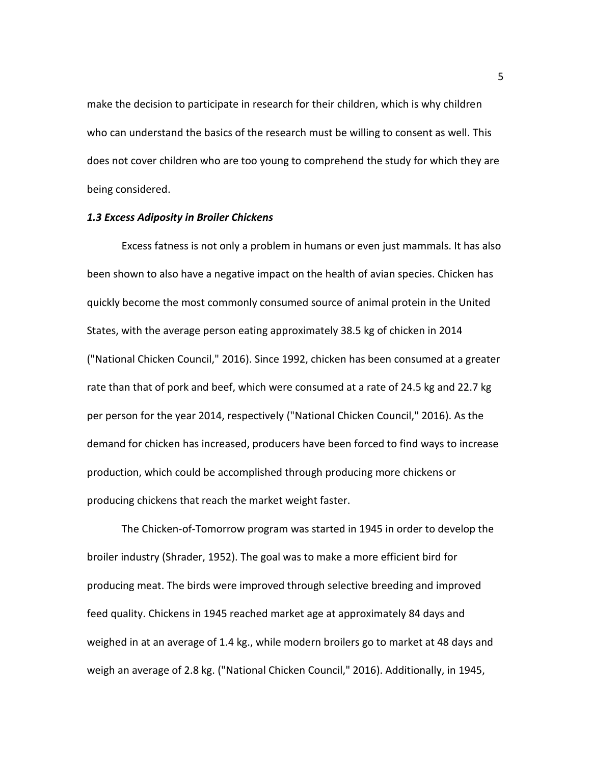make the decision to participate in research for their children, which is why children who can understand the basics of the research must be willing to consent as well. This does not cover children who are too young to comprehend the study for which they are being considered.

#### *1.3 Excess Adiposity in Broiler Chickens*

Excess fatness is not only a problem in humans or even just mammals. It has also been shown to also have a negative impact on the health of avian species. Chicken has quickly become the most commonly consumed source of animal protein in the United States, with the average person eating approximately 38.5 kg of chicken in 2014 [\("National Chicken Council," 2016\)](#page-68-0). Since 1992, chicken has been consumed at a greater rate than that of pork and beef, which were consumed at a rate of 24.5 kg and 22.7 kg per person for the year 2014, respectively [\("National Chicken Council," 2016\)](#page-68-0). As the demand for chicken has increased, producers have been forced to find ways to increase production, which could be accomplished through producing more chickens or producing chickens that reach the market weight faster.

The Chicken-of-Tomorrow program was started in 1945 in order to develop the broiler industry [\(Shrader, 1952\)](#page-70-0). The goal was to make a more efficient bird for producing meat. The birds were improved through selective breeding and improved feed quality. Chickens in 1945 reached market age at approximately 84 days and weighed in at an average of 1.4 kg., while modern broilers go to market at 48 days and weigh an average of 2.8 kg. [\("National Chicken Council," 2016\)](#page-68-0). Additionally, in 1945,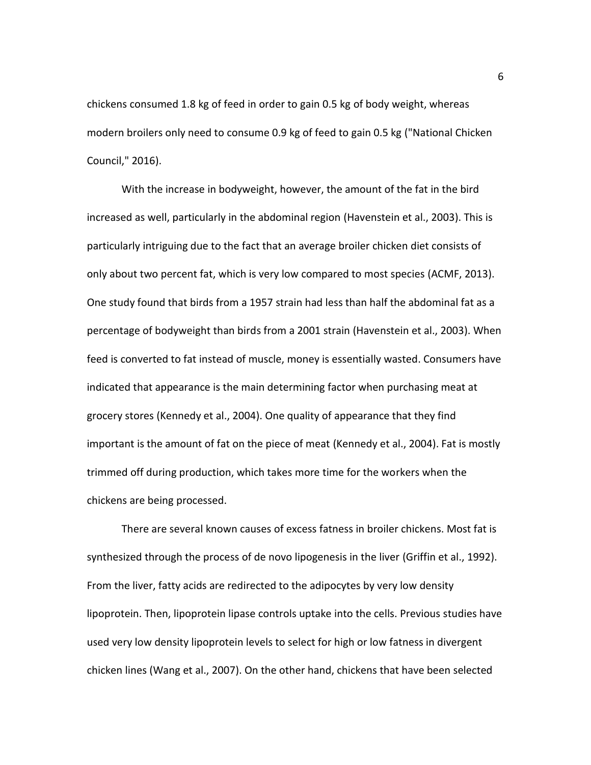chickens consumed 1.8 kg of feed in order to gain 0.5 kg of body weight, whereas modern broilers only need to consume 0.9 kg of feed to gain 0.5 kg [\("National Chicken](#page-68-0)  [Council," 2016\)](#page-68-0).

With the increase in bodyweight, however, the amount of the fat in the bird increased as well, particularly in the abdominal region [\(Havenstein et al., 2003\)](#page-66-1). This is particularly intriguing due to the fact that an average broiler chicken diet consists of only about two percent fat, which is very low compared to most species [\(ACMF, 2013\)](#page-64-4). One study found that birds from a 1957 strain had less than half the abdominal fat as a percentage of bodyweight than birds from a 2001 strain [\(Havenstein et al., 2003\)](#page-66-1). When feed is converted to fat instead of muscle, money is essentially wasted. Consumers have indicated that appearance is the main determining factor when purchasing meat at grocery stores [\(Kennedy et al., 2004\)](#page-67-2). One quality of appearance that they find important is the amount of fat on the piece of meat [\(Kennedy et al., 2004\)](#page-67-2). Fat is mostly trimmed off during production, which takes more time for the workers when the chickens are being processed.

There are several known causes of excess fatness in broiler chickens. Most fat is synthesized through the process of de novo lipogenesis in the liver [\(Griffin et al., 1992\)](#page-65-0). From the liver, fatty acids are redirected to the adipocytes by very low density lipoprotein. Then, lipoprotein lipase controls uptake into the cells. Previous studies have used very low density lipoprotein levels to select for high or low fatness in divergent chicken lines [\(Wang et al., 2007\)](#page-72-2). On the other hand, chickens that have been selected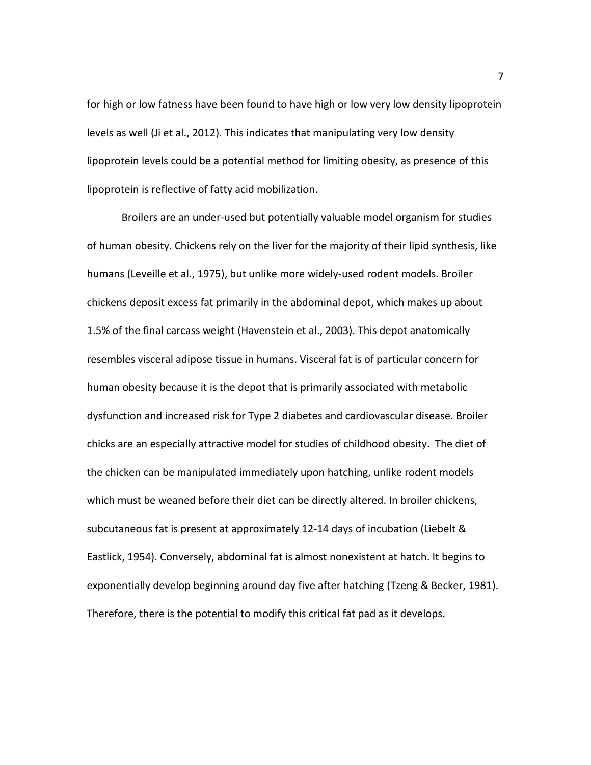for high or low fatness have been found to have high or low very low density lipoprotein levels as well [\(Ji et al., 2012\)](#page-66-2). This indicates that manipulating very low density lipoprotein levels could be a potential method for limiting obesity, as presence of this lipoprotein is reflective of fatty acid mobilization.

Broilers are an under-used but potentially valuable model organism for studies of human obesity. Chickens rely on the liver for the majority of their lipid synthesis, like humans [\(Leveille et al., 1975\)](#page-67-3), but unlike more widely-used rodent models. Broiler chickens deposit excess fat primarily in the abdominal depot, which makes up about 1.5% of the final carcass weight [\(Havenstein et al., 2003\)](#page-66-1). This depot anatomically resembles visceral adipose tissue in humans. Visceral fat is of particular concern for human obesity because it is the depot that is primarily associated with metabolic dysfunction and increased risk for Type 2 diabetes and cardiovascular disease. Broiler chicks are an especially attractive model for studies of childhood obesity. The diet of the chicken can be manipulated immediately upon hatching, unlike rodent models which must be weaned before their diet can be directly altered. In broiler chickens, subcutaneous fat is present at approximately 12-14 days of incubation [\(Liebelt &](#page-67-4)  [Eastlick, 1954\)](#page-67-4). Conversely, abdominal fat is almost nonexistent at hatch. It begins to exponentially develop beginning around day five after hatching [\(Tzeng & Becker, 1981\)](#page-71-1). Therefore, there is the potential to modify this critical fat pad as it develops.

7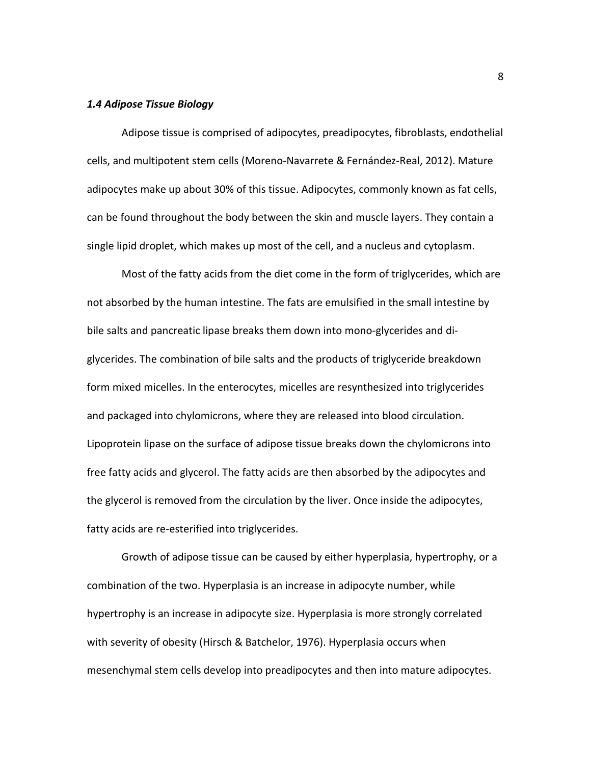#### *1.4 Adipose Tissue Biology*

Adipose tissue is comprised of adipocytes, preadipocytes, fibroblasts, endothelial cells, and multipotent stem cells [\(Moreno-Navarrete & Fernández-Real, 2012\)](#page-68-1). Mature adipocytes make up about 30% of this tissue. Adipocytes, commonly known as fat cells, can be found throughout the body between the skin and muscle layers. They contain a single lipid droplet, which makes up most of the cell, and a nucleus and cytoplasm.

Most of the fatty acids from the diet come in the form of triglycerides, which are not absorbed by the human intestine. The fats are emulsified in the small intestine by bile salts and pancreatic lipase breaks them down into mono-glycerides and diglycerides. The combination of bile salts and the products of triglyceride breakdown form mixed micelles. In the enterocytes, micelles are resynthesized into triglycerides and packaged into chylomicrons, where they are released into blood circulation. Lipoprotein lipase on the surface of adipose tissue breaks down the chylomicrons into free fatty acids and glycerol. The fatty acids are then absorbed by the adipocytes and the glycerol is removed from the circulation by the liver. Once inside the adipocytes, fatty acids are re-esterified into triglycerides.

Growth of adipose tissue can be caused by either hyperplasia, hypertrophy, or a combination of the two. Hyperplasia is an increase in adipocyte number, while hypertrophy is an increase in adipocyte size. Hyperplasia is more strongly correlated with severity of obesity [\(Hirsch & Batchelor, 1976\)](#page-66-3). Hyperplasia occurs when mesenchymal stem cells develop into preadipocytes and then into mature adipocytes.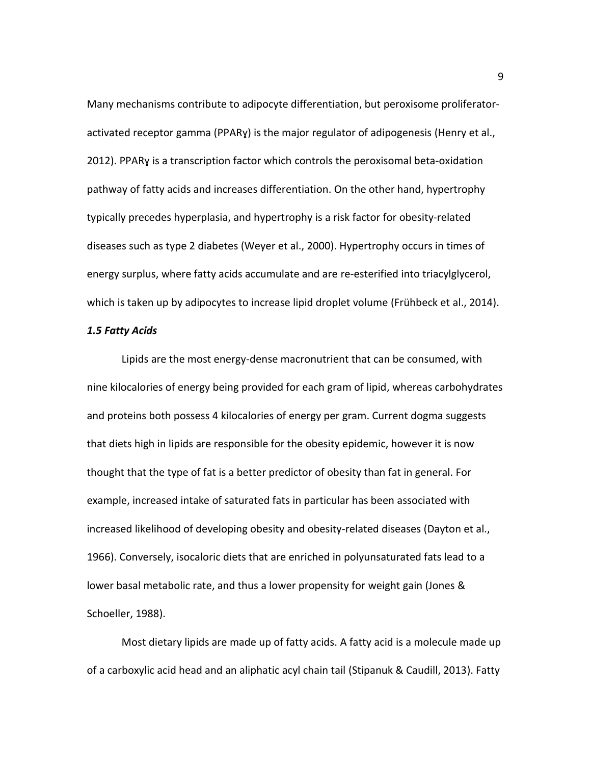Many mechanisms contribute to adipocyte differentiation, but peroxisome proliferatoractivated receptor gamma (PPARɣ) is the major regulator of adipogenesis [\(Henry et al.,](#page-66-4)  [2012\)](#page-66-4). PPARɣ is a transcription factor which controls the peroxisomal beta-oxidation pathway of fatty acids and increases differentiation. On the other hand, hypertrophy typically precedes hyperplasia, and hypertrophy is a risk factor for obesity-related diseases such as type 2 diabetes [\(Weyer et al., 2000\)](#page-72-3). Hypertrophy occurs in times of energy surplus, where fatty acids accumulate and are re-esterified into triacylglycerol, which is taken up by adipocytes to increase lipid droplet volume [\(Frühbeck et al., 2014\)](#page-64-5).

#### *1.5 Fatty Acids*

Lipids are the most energy-dense macronutrient that can be consumed, with nine kilocalories of energy being provided for each gram of lipid, whereas carbohydrates and proteins both possess 4 kilocalories of energy per gram. Current dogma suggests that diets high in lipids are responsible for the obesity epidemic, however it is now thought that the type of fat is a better predictor of obesity than fat in general. For example, increased intake of saturated fats in particular has been associated with increased likelihood of developing obesity and obesity-related diseases [\(Dayton et al.,](#page-64-6)  [1966\)](#page-64-6). Conversely, isocaloric diets that are enriched in polyunsaturated fats lead to a lower basal metabolic rate, and thus a lower propensity for weight gain [\(Jones &](#page-67-5)  [Schoeller, 1988\)](#page-67-5).

Most dietary lipids are made up of fatty acids. A fatty acid is a molecule made up of a carboxylic acid head and an aliphatic acyl chain tail [\(Stipanuk & Caudill, 2013\)](#page-70-1). Fatty

9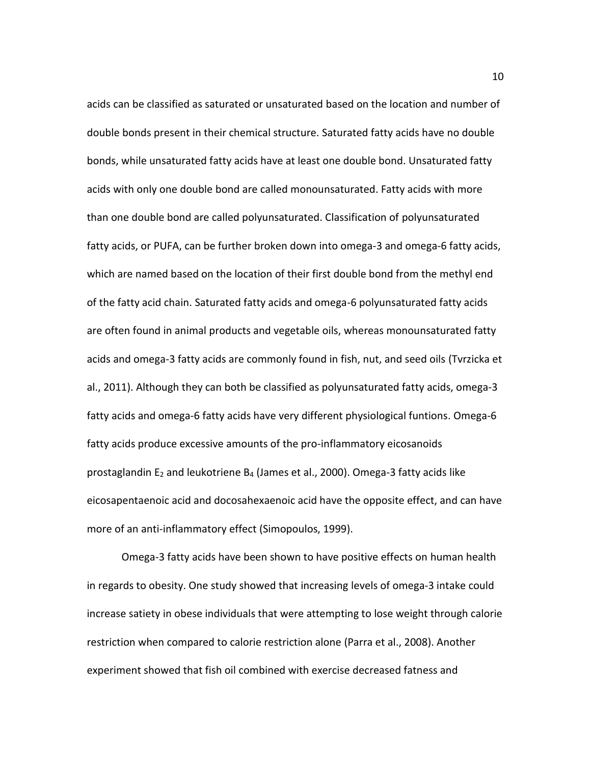acids can be classified as saturated or unsaturated based on the location and number of double bonds present in their chemical structure. Saturated fatty acids have no double bonds, while unsaturated fatty acids have at least one double bond. Unsaturated fatty acids with only one double bond are called monounsaturated. Fatty acids with more than one double bond are called polyunsaturated. Classification of polyunsaturated fatty acids, or PUFA, can be further broken down into omega-3 and omega-6 fatty acids, which are named based on the location of their first double bond from the methyl end of the fatty acid chain. Saturated fatty acids and omega-6 polyunsaturated fatty acids are often found in animal products and vegetable oils, whereas monounsaturated fatty acids and omega-3 fatty acids are commonly found in fish, nut, and seed oils [\(Tvrzicka et](#page-71-2)  [al., 2011\)](#page-71-2). Although they can both be classified as polyunsaturated fatty acids, omega-3 fatty acids and omega-6 fatty acids have very different physiological funtions. Omega-6 fatty acids produce excessive amounts of the pro-inflammatory eicosanoids prostaglandin  $E_2$  and leukotriene  $B_4$  [\(James et al., 2000\)](#page-66-5). Omega-3 fatty acids like eicosapentaenoic acid and docosahexaenoic acid have the opposite effect, and can have more of an anti-inflammatory effect [\(Simopoulos, 1999\)](#page-70-2).

Omega-3 fatty acids have been shown to have positive effects on human health in regards to obesity. One study showed that increasing levels of omega-3 intake could increase satiety in obese individuals that were attempting to lose weight through calorie restriction when compared to calorie restriction alone [\(Parra et al., 2008\)](#page-69-3). Another experiment showed that fish oil combined with exercise decreased fatness and

10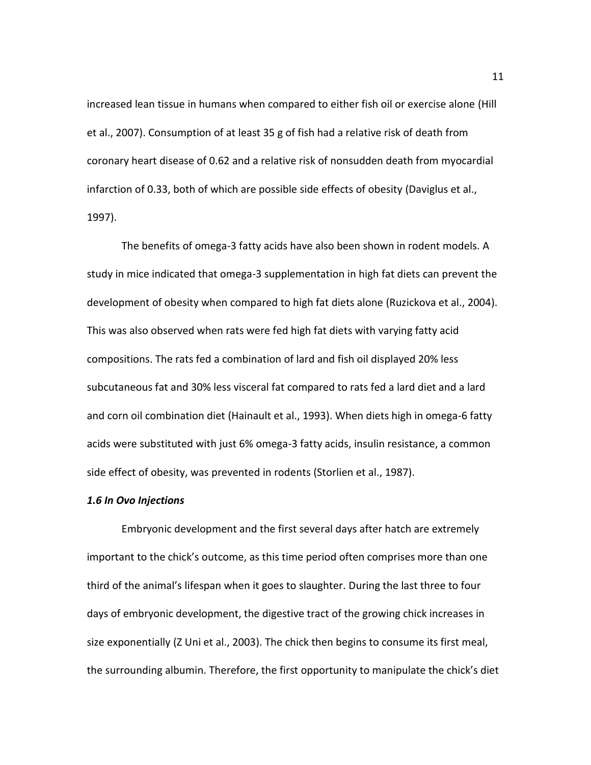increased lean tissue in humans when compared to either fish oil or exercise alone [\(Hill](#page-66-6)  [et al., 2007\)](#page-66-6). Consumption of at least 35 g of fish had a relative risk of death from coronary heart disease of 0.62 and a relative risk of nonsudden death from myocardial infarction of 0.33, both of which are possible side effects of obesity [\(Daviglus et al.,](#page-64-7)  [1997\)](#page-64-7).

The benefits of omega-3 fatty acids have also been shown in rodent models. A study in mice indicated that omega-3 supplementation in high fat diets can prevent the development of obesity when compared to high fat diets alone [\(Ruzickova et al., 2004\)](#page-70-3). This was also observed when rats were fed high fat diets with varying fatty acid compositions. The rats fed a combination of lard and fish oil displayed 20% less subcutaneous fat and 30% less visceral fat compared to rats fed a lard diet and a lard and corn oil combination diet [\(Hainault et al., 1993\)](#page-65-1). When diets high in omega-6 fatty acids were substituted with just 6% omega-3 fatty acids, insulin resistance, a common side effect of obesity, was prevented in rodents [\(Storlien et al.,](#page-71-3) 1987).

#### *1.6 In Ovo Injections*

Embryonic development and the first several days after hatch are extremely important to the chick's outcome, as this time period often comprises more than one third of the animal's lifespan when it goes to slaughter. During the last three to four days of embryonic development, the digestive tract of the growing chick increases in size exponentially [\(Z Uni et al., 2003\)](#page-72-4). The chick then begins to consume its first meal, the surrounding albumin. Therefore, the first opportunity to manipulate the chick's diet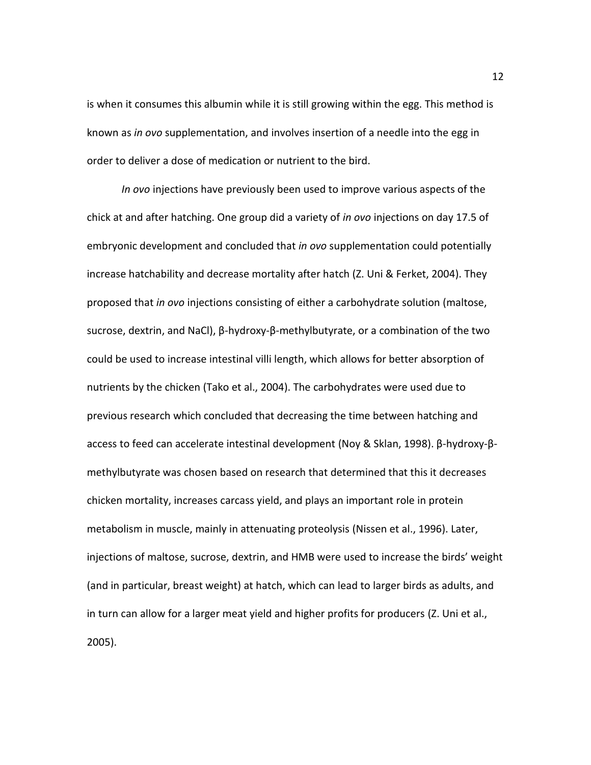is when it consumes this albumin while it is still growing within the egg. This method is known as *in ovo* supplementation, and involves insertion of a needle into the egg in order to deliver a dose of medication or nutrient to the bird.

*In ovo* injections have previously been used to improve various aspects of the chick at and after hatching. One group did a variety of *in ovo* injections on day 17.5 of embryonic development and concluded that *in ovo* supplementation could potentially increase hatchability and decrease mortality after hatch [\(Z. Uni & Ferket, 2004\)](#page-72-5). They proposed that *in ovo* injections consisting of either a carbohydrate solution (maltose, sucrose, dextrin, and NaCl), β-hydroxy-β-methylbutyrate, or a combination of the two could be used to increase intestinal villi length, which allows for better absorption of nutrients by the chicken [\(Tako et al., 2004\)](#page-71-4). The carbohydrates were used due to previous research which concluded that decreasing the time between hatching and access to feed can accelerate intestinal development [\(Noy & Sklan, 1998\)](#page-69-4). β-hydroxy-βmethylbutyrate was chosen based on research that determined that this it decreases chicken mortality, increases carcass yield, and plays an important role in protein metabolism in muscle, mainly in attenuating proteolysis [\(Nissen et al., 1996\)](#page-69-5). Later, injections of maltose, sucrose, dextrin, and HMB were used to increase the birds' weight (and in particular, breast weight) at hatch, which can lead to larger birds as adults, and in turn can allow for a larger meat yield and higher profits for producers [\(Z. Uni et al.,](#page-72-6)  [2005\)](#page-72-6).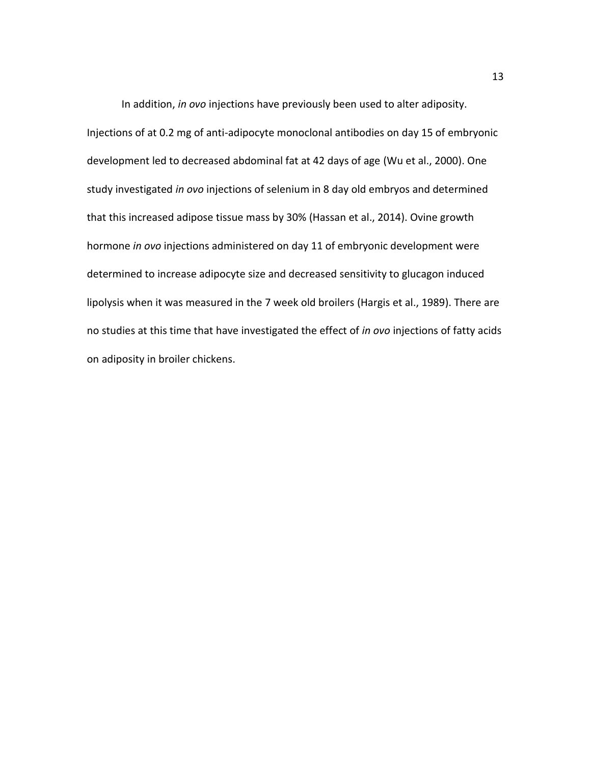In addition, *in ovo* injections have previously been used to alter adiposity. Injections of at 0.2 mg of anti-adipocyte monoclonal antibodies on day 15 of embryonic development led to decreased abdominal fat at 42 days of age [\(Wu et al., 2000\)](#page-73-1). One study investigated *in ovo* injections of selenium in 8 day old embryos and determined that this increased adipose tissue mass by 30% [\(Hassan et al., 2014\)](#page-65-2). Ovine growth hormone *in ovo* injections administered on day 11 of embryonic development were determined to increase adipocyte size and decreased sensitivity to glucagon induced lipolysis when it was measured in the 7 week old broilers [\(Hargis et al., 1989\)](#page-65-3). There are no studies at this time that have investigated the effect of *in ovo* injections of fatty acids on adiposity in broiler chickens.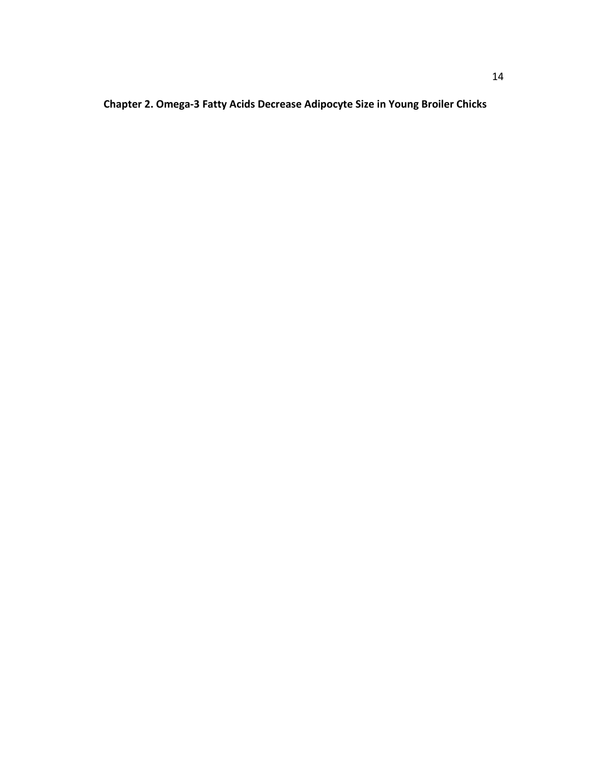**Chapter 2. Omega-3 Fatty Acids Decrease Adipocyte Size in Young Broiler Chicks**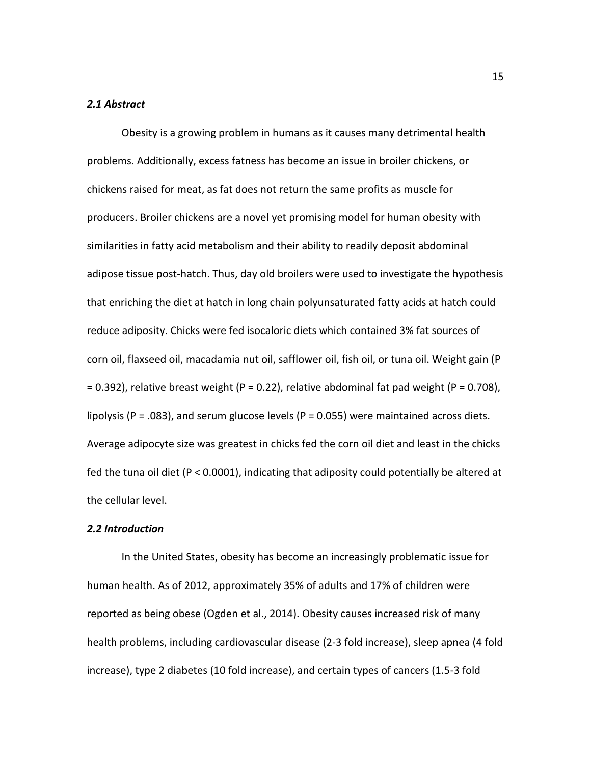#### *2.1 Abstract*

Obesity is a growing problem in humans as it causes many detrimental health problems. Additionally, excess fatness has become an issue in broiler chickens, or chickens raised for meat, as fat does not return the same profits as muscle for producers. Broiler chickens are a novel yet promising model for human obesity with similarities in fatty acid metabolism and their ability to readily deposit abdominal adipose tissue post-hatch. Thus, day old broilers were used to investigate the hypothesis that enriching the diet at hatch in long chain polyunsaturated fatty acids at hatch could reduce adiposity. Chicks were fed isocaloric diets which contained 3% fat sources of corn oil, flaxseed oil, macadamia nut oil, safflower oil, fish oil, or tuna oil. Weight gain (P  $= 0.392$ ), relative breast weight (P = 0.22), relative abdominal fat pad weight (P = 0.708), lipolysis ( $P = .083$ ), and serum glucose levels ( $P = 0.055$ ) were maintained across diets. Average adipocyte size was greatest in chicks fed the corn oil diet and least in the chicks fed the tuna oil diet (P < 0.0001), indicating that adiposity could potentially be altered at the cellular level.

#### *2.2 Introduction*

In the United States, obesity has become an increasingly problematic issue for human health. As of 2012, approximately 35% of adults and 17% of children were reported as being obese [\(Ogden et al., 2014\)](#page-69-0). Obesity causes increased risk of many health problems, including cardiovascular disease (2-3 fold increase), sleep apnea (4 fold increase), type 2 diabetes (10 fold increase), and certain types of cancers (1.5-3 fold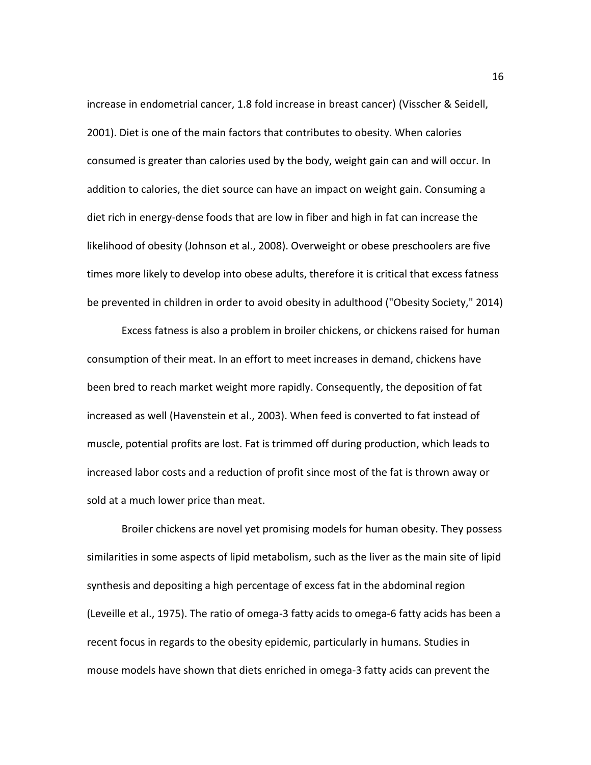increase in endometrial cancer, 1.8 fold increase in breast cancer) [\(Visscher & Seidell,](#page-72-0)  [2001\)](#page-72-0). Diet is one of the main factors that contributes to obesity. When calories consumed is greater than calories used by the body, weight gain can and will occur. In addition to calories, the diet source can have an impact on weight gain. Consuming a diet rich in energy-dense foods that are low in fiber and high in fat can increase the likelihood of obesity [\(Johnson et al., 2008\)](#page-67-0). Overweight or obese preschoolers are five times more likely to develop into obese adults, therefore it is critical that excess fatness be prevented in children in order to avoid obesity in adulthood [\("Obesity Society," 2014\)](#page-69-6)

Excess fatness is also a problem in broiler chickens, or chickens raised for human consumption of their meat. In an effort to meet increases in demand, chickens have been bred to reach market weight more rapidly. Consequently, the deposition of fat increased as well [\(Havenstein et al., 2003\)](#page-66-1). When feed is converted to fat instead of muscle, potential profits are lost. Fat is trimmed off during production, which leads to increased labor costs and a reduction of profit since most of the fat is thrown away or sold at a much lower price than meat.

Broiler chickens are novel yet promising models for human obesity. They possess similarities in some aspects of lipid metabolism, such as the liver as the main site of lipid synthesis and depositing a high percentage of excess fat in the abdominal region [\(Leveille et al., 1975\)](#page-67-3). The ratio of omega-3 fatty acids to omega-6 fatty acids has been a recent focus in regards to the obesity epidemic, particularly in humans. Studies in mouse models have shown that diets enriched in omega-3 fatty acids can prevent the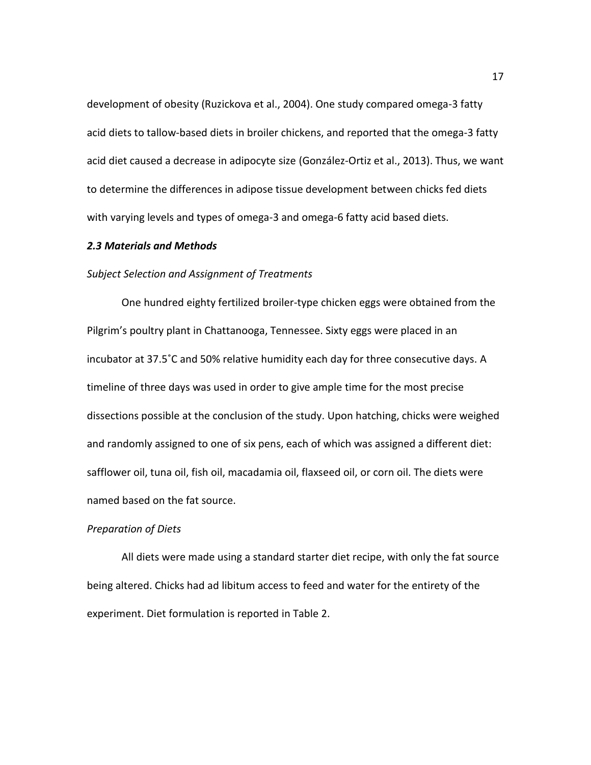development of obesity [\(Ruzickova et al., 2004\)](#page-70-3). One study compared omega-3 fatty acid diets to tallow-based diets in broiler chickens, and reported that the omega-3 fatty acid diet caused a decrease in adipocyte size [\(González-Ortiz et al., 2013\)](#page-65-4). Thus, we want to determine the differences in adipose tissue development between chicks fed diets with varying levels and types of omega-3 and omega-6 fatty acid based diets.

#### *2.3 Materials and Methods*

#### *Subject Selection and Assignment of Treatments*

One hundred eighty fertilized broiler-type chicken eggs were obtained from the Pilgrim's poultry plant in Chattanooga, Tennessee. Sixty eggs were placed in an incubator at 37.5˚C and 50% relative humidity each day for three consecutive days. A timeline of three days was used in order to give ample time for the most precise dissections possible at the conclusion of the study. Upon hatching, chicks were weighed and randomly assigned to one of six pens, each of which was assigned a different diet: safflower oil, tuna oil, fish oil, macadamia oil, flaxseed oil, or corn oil. The diets were named based on the fat source.

#### *Preparation of Diets*

All diets were made using a standard starter diet recipe, with only the fat source being altered. Chicks had ad libitum access to feed and water for the entirety of the experiment. Diet formulation is reported in Table 2.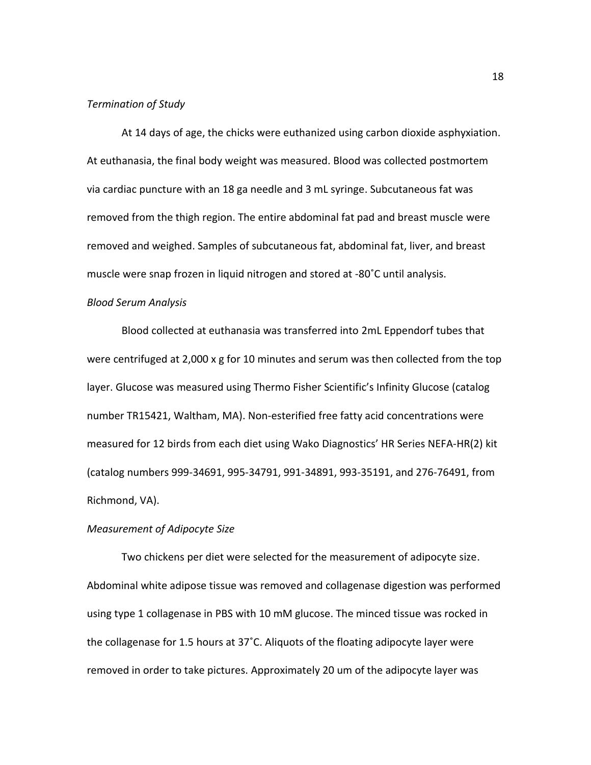#### *Termination of Study*

At 14 days of age, the chicks were euthanized using carbon dioxide asphyxiation. At euthanasia, the final body weight was measured. Blood was collected postmortem via cardiac puncture with an 18 ga needle and 3 mL syringe. Subcutaneous fat was removed from the thigh region. The entire abdominal fat pad and breast muscle were removed and weighed. Samples of subcutaneous fat, abdominal fat, liver, and breast muscle were snap frozen in liquid nitrogen and stored at -80˚C until analysis.

#### *Blood Serum Analysis*

Blood collected at euthanasia was transferred into 2mL Eppendorf tubes that were centrifuged at 2,000 x g for 10 minutes and serum was then collected from the top layer. Glucose was measured using Thermo Fisher Scientific's Infinity Glucose (catalog number TR15421, Waltham, MA). Non-esterified free fatty acid concentrations were measured for 12 birds from each diet using Wako Diagnostics' HR Series NEFA-HR(2) kit (catalog numbers 999-34691, 995-34791, 991-34891, 993-35191, and 276-76491, from Richmond, VA).

### *Measurement of Adipocyte Size*

Two chickens per diet were selected for the measurement of adipocyte size. Abdominal white adipose tissue was removed and collagenase digestion was performed using type 1 collagenase in PBS with 10 mM glucose. The minced tissue was rocked in the collagenase for 1.5 hours at 37˚C. Aliquots of the floating adipocyte layer were removed in order to take pictures. Approximately 20 um of the adipocyte layer was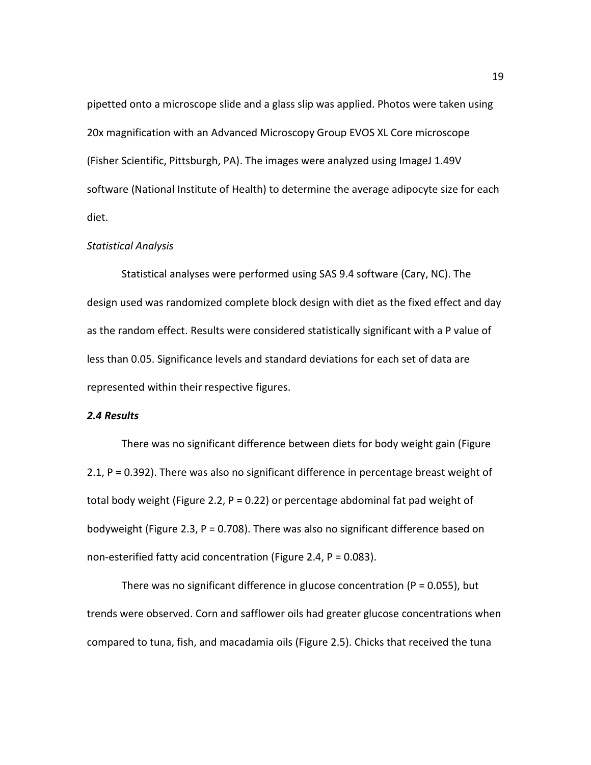pipetted onto a microscope slide and a glass slip was applied. Photos were taken using 20x magnification with an Advanced Microscopy Group EVOS XL Core microscope (Fisher Scientific, Pittsburgh, PA). The images were analyzed using ImageJ 1.49V software (National Institute of Health) to determine the average adipocyte size for each diet.

#### *Statistical Analysis*

Statistical analyses were performed using SAS 9.4 software (Cary, NC). The design used was randomized complete block design with diet as the fixed effect and day as the random effect. Results were considered statistically significant with a P value of less than 0.05. Significance levels and standard deviations for each set of data are represented within their respective figures.

#### *2.4 Results*

There was no significant difference between diets for body weight gain [\(Figure](#page-31-0)  [2.1,](#page-31-0) P = 0.392). There was also no significant difference in percentage breast weight of total body weight [\(Figure 2.2,](#page-32-0) P = 0.22) or percentage abdominal fat pad weight of bodyweight [\(Figure 2.3,](#page-32-1) P = 0.708). There was also no significant difference based on non-esterified fatty acid concentration [\(Figure 2.4,](#page-33-0) P = 0.083).

There was no significant difference in glucose concentration ( $P = 0.055$ ), but trends were observed. Corn and safflower oils had greater glucose concentrations when compared to tuna, fish, and macadamia oils [\(Figure 2.5\)](#page-33-1). Chicks that received the tuna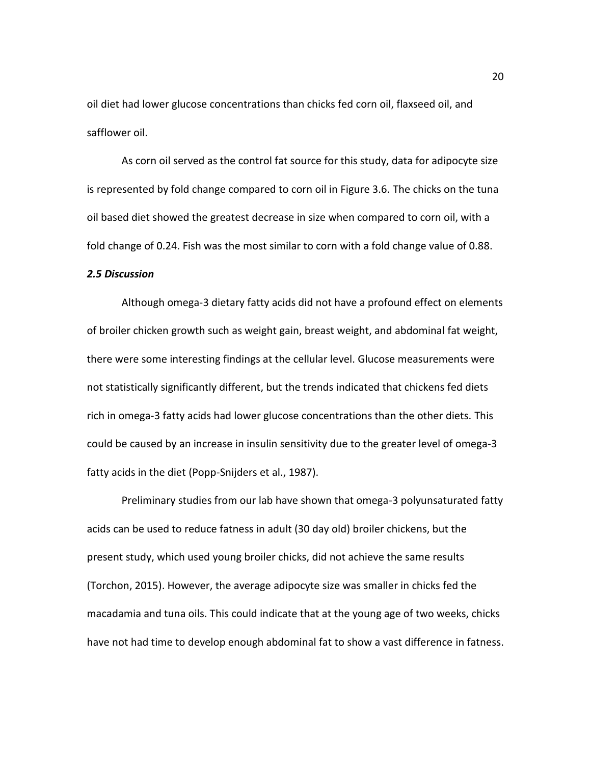oil diet had lower glucose concentrations than chicks fed corn oil, flaxseed oil, and safflower oil.

As corn oil served as the control fat source for this study, data for adipocyte size is represented by fold change compared to corn oil in Figure 3.6. The chicks on the tuna oil based diet showed the greatest decrease in size when compared to corn oil, with a fold change of 0.24. Fish was the most similar to corn with a fold change value of 0.88.

#### *2.5 Discussion*

Although omega-3 dietary fatty acids did not have a profound effect on elements of broiler chicken growth such as weight gain, breast weight, and abdominal fat weight, there were some interesting findings at the cellular level. Glucose measurements were not statistically significantly different, but the trends indicated that chickens fed diets rich in omega-3 fatty acids had lower glucose concentrations than the other diets. This could be caused by an increase in insulin sensitivity due to the greater level of omega-3 fatty acids in the diet [\(Popp-Snijders et al., 1987\)](#page-69-7).

Preliminary studies from our lab have shown that omega-3 polyunsaturated fatty acids can be used to reduce fatness in adult (30 day old) broiler chickens, but the present study, which used young broiler chicks, did not achieve the same results [\(Torchon, 2015\)](#page-71-5). However, the average adipocyte size was smaller in chicks fed the macadamia and tuna oils. This could indicate that at the young age of two weeks, chicks have not had time to develop enough abdominal fat to show a vast difference in fatness.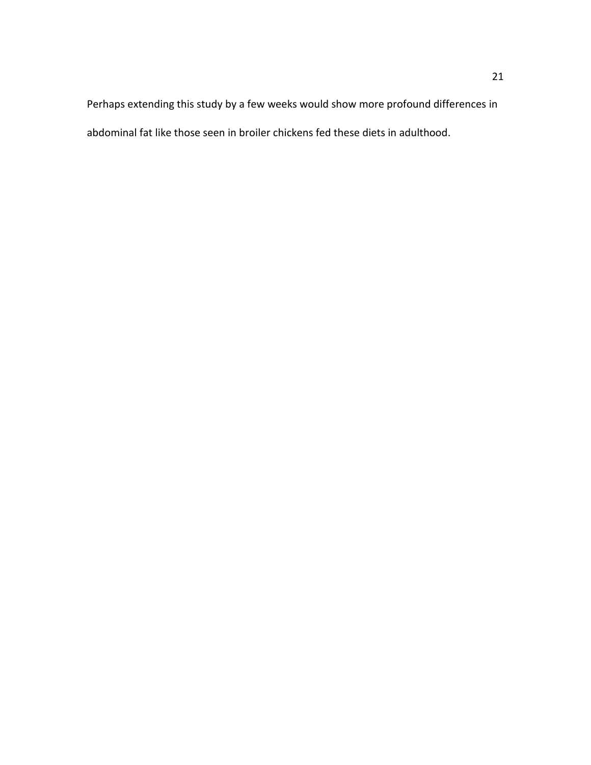Perhaps extending this study by a few weeks would show more profound differences in abdominal fat like those seen in broiler chickens fed these diets in adulthood.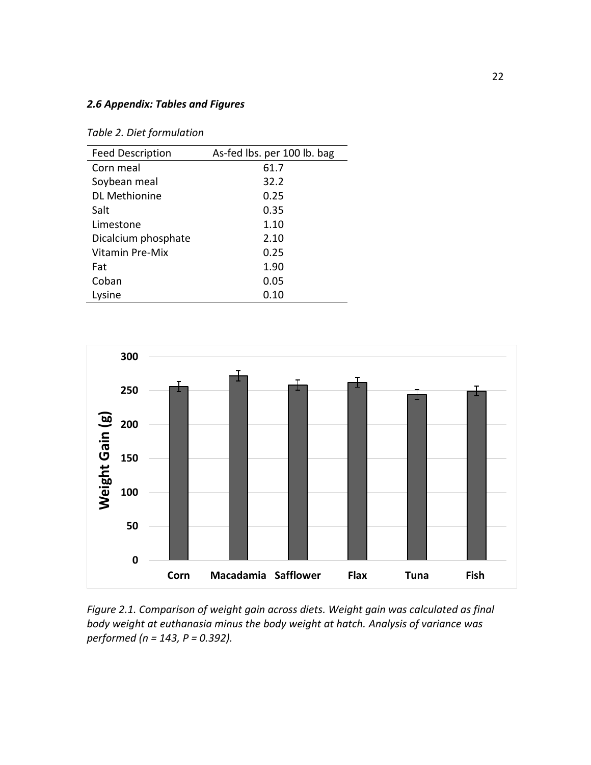### *2.6 Appendix: Tables and Figures*

*Table 2. Diet formulation*

| <b>Feed Description</b> | As-fed lbs. per 100 lb. bag |
|-------------------------|-----------------------------|
| Corn meal               | 61.7                        |
| Soybean meal            | 32.2                        |
| <b>DL Methionine</b>    | 0.25                        |
| Salt                    | 0.35                        |
| Limestone               | 1.10                        |
| Dicalcium phosphate     | 2.10                        |
| Vitamin Pre-Mix         | 0.25                        |
| Fat                     | 1.90                        |
| Coban                   | 0.05                        |
| Lysine                  | 0.10                        |



<span id="page-31-0"></span>*Figure 2.1. Comparison of weight gain across diets. Weight gain was calculated as final body weight at euthanasia minus the body weight at hatch. Analysis of variance was performed (n = 143, P = 0.392).*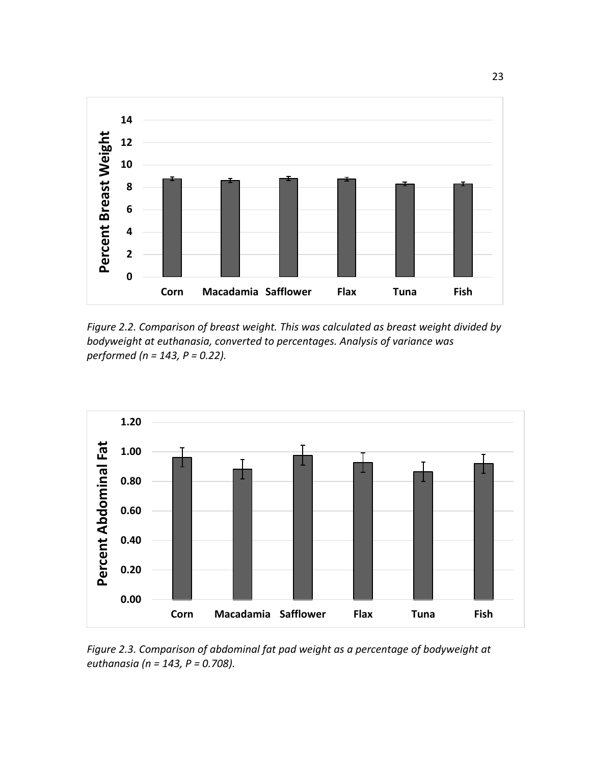

<span id="page-32-0"></span>*Figure 2.2. Comparison of breast weight. This was calculated as breast weight divided by bodyweight at euthanasia, converted to percentages. Analysis of variance was performed (n = 143, P = 0.22).*



<span id="page-32-1"></span>*Figure 2.3. Comparison of abdominal fat pad weight as a percentage of bodyweight at euthanasia (n = 143, P = 0.708).*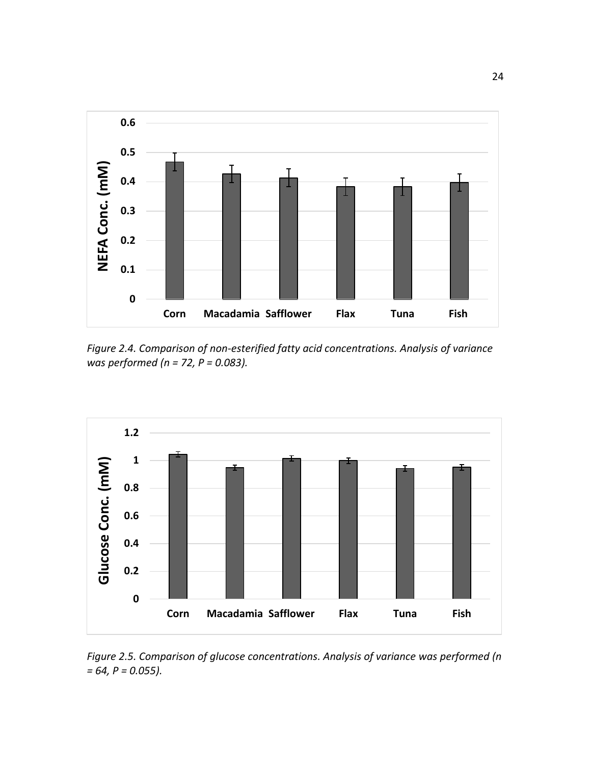

<span id="page-33-0"></span>*Figure 2.4. Comparison of non-esterified fatty acid concentrations. Analysis of variance was performed (n = 72, P = 0.083).*



<span id="page-33-1"></span>*Figure 2.5. Comparison of glucose concentrations. Analysis of variance was performed (n = 64, P = 0.055).*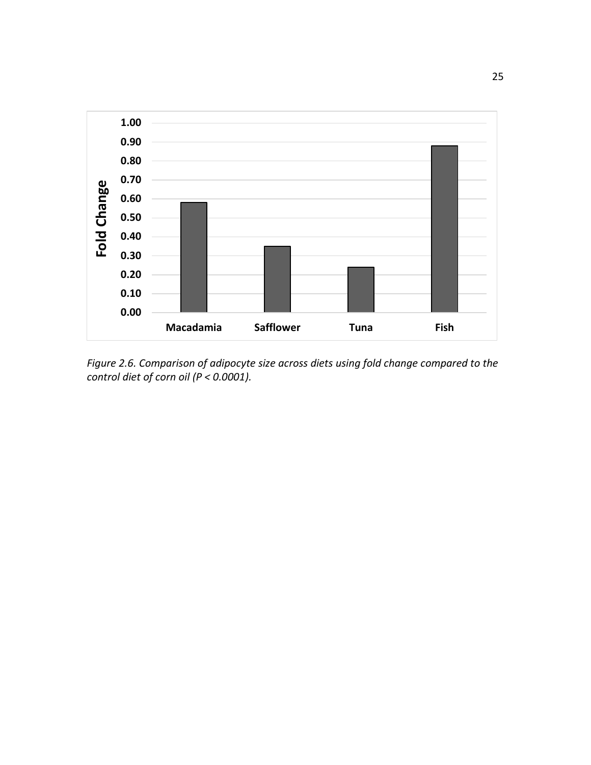

*Figure 2.6. Comparison of adipocyte size across diets using fold change compared to the control diet of corn oil (P < 0.0001).*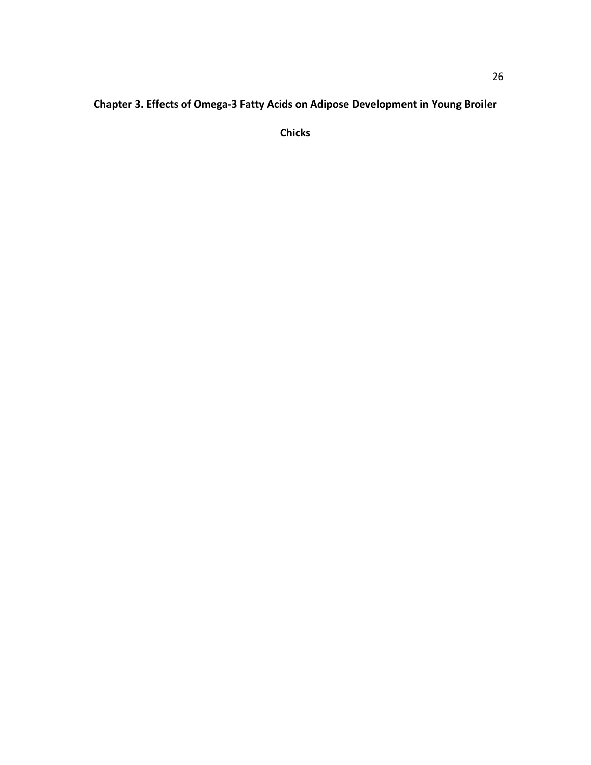# **Chapter 3. Effects of Omega-3 Fatty Acids on Adipose Development in Young Broiler**

**Chicks**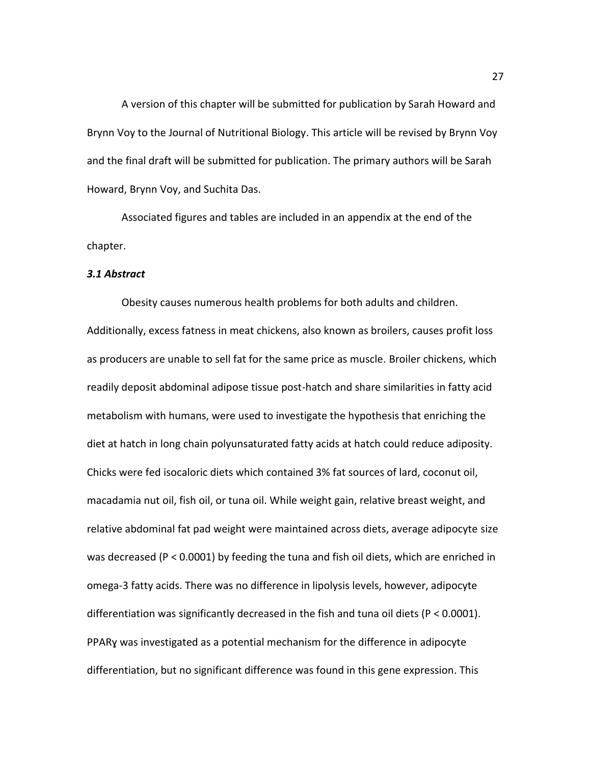A version of this chapter will be submitted for publication by Sarah Howard and Brynn Voy to the Journal of Nutritional Biology. This article will be revised by Brynn Voy and the final draft will be submitted for publication. The primary authors will be Sarah Howard, Brynn Voy, and Suchita Das.

Associated figures and tables are included in an appendix at the end of the chapter.

#### *3.1 Abstract*

Obesity causes numerous health problems for both adults and children. Additionally, excess fatness in meat chickens, also known as broilers, causes profit loss as producers are unable to sell fat for the same price as muscle. Broiler chickens, which readily deposit abdominal adipose tissue post-hatch and share similarities in fatty acid metabolism with humans, were used to investigate the hypothesis that enriching the diet at hatch in long chain polyunsaturated fatty acids at hatch could reduce adiposity. Chicks were fed isocaloric diets which contained 3% fat sources of lard, coconut oil, macadamia nut oil, fish oil, or tuna oil. While weight gain, relative breast weight, and relative abdominal fat pad weight were maintained across diets, average adipocyte size was decreased (P < 0.0001) by feeding the tuna and fish oil diets, which are enriched in omega-3 fatty acids. There was no difference in lipolysis levels, however, adipocyte differentiation was significantly decreased in the fish and tuna oil diets (P < 0.0001). PPARɣ was investigated as a potential mechanism for the difference in adipocyte differentiation, but no significant difference was found in this gene expression. This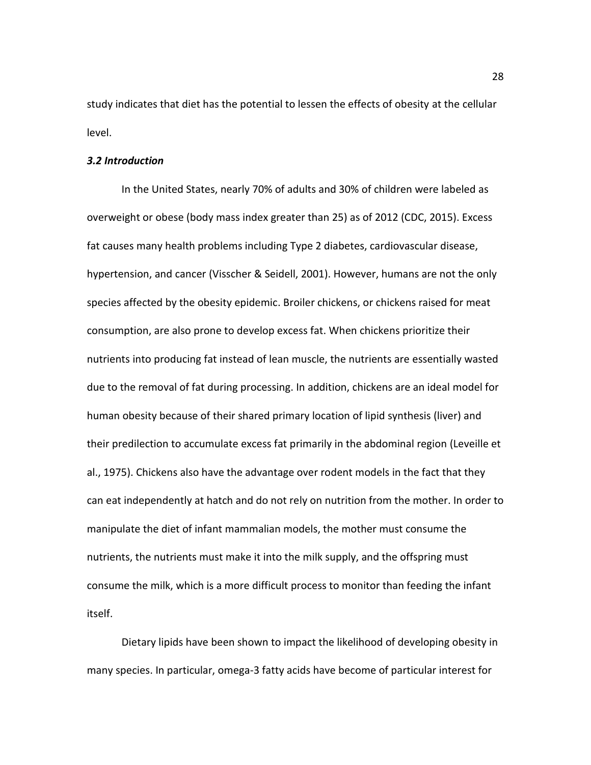study indicates that diet has the potential to lessen the effects of obesity at the cellular level.

## *3.2 Introduction*

In the United States, nearly 70% of adults and 30% of children were labeled as overweight or obese (body mass index greater than 25) as of 2012 [\(CDC, 2015\)](#page-64-0). Excess fat causes many health problems including Type 2 diabetes, cardiovascular disease, hypertension, and cancer [\(Visscher & Seidell, 2001\)](#page-72-0). However, humans are not the only species affected by the obesity epidemic. Broiler chickens, or chickens raised for meat consumption, are also prone to develop excess fat. When chickens prioritize their nutrients into producing fat instead of lean muscle, the nutrients are essentially wasted due to the removal of fat during processing. In addition, chickens are an ideal model for human obesity because of their shared primary location of lipid synthesis (liver) and their predilection to accumulate excess fat primarily in the abdominal region [\(Leveille et](#page-67-0)  [al., 1975\)](#page-67-0). Chickens also have the advantage over rodent models in the fact that they can eat independently at hatch and do not rely on nutrition from the mother. In order to manipulate the diet of infant mammalian models, the mother must consume the nutrients, the nutrients must make it into the milk supply, and the offspring must consume the milk, which is a more difficult process to monitor than feeding the infant itself.

Dietary lipids have been shown to impact the likelihood of developing obesity in many species. In particular, omega-3 fatty acids have become of particular interest for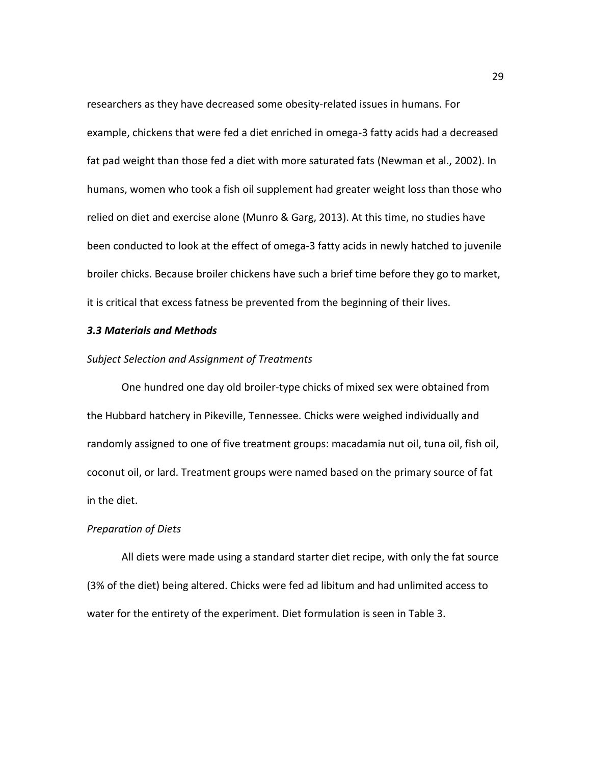researchers as they have decreased some obesity-related issues in humans. For example, chickens that were fed a diet enriched in omega-3 fatty acids had a decreased fat pad weight than those fed a diet with more saturated fats [\(Newman et al., 2002\)](#page-68-0). In humans, women who took a fish oil supplement had greater weight loss than those who relied on diet and exercise alone [\(Munro & Garg, 2013\)](#page-68-1). At this time, no studies have been conducted to look at the effect of omega-3 fatty acids in newly hatched to juvenile broiler chicks. Because broiler chickens have such a brief time before they go to market, it is critical that excess fatness be prevented from the beginning of their lives.

## *3.3 Materials and Methods*

#### *Subject Selection and Assignment of Treatments*

One hundred one day old broiler-type chicks of mixed sex were obtained from the Hubbard hatchery in Pikeville, Tennessee. Chicks were weighed individually and randomly assigned to one of five treatment groups: macadamia nut oil, tuna oil, fish oil, coconut oil, or lard. Treatment groups were named based on the primary source of fat in the diet.

# *Preparation of Diets*

All diets were made using a standard starter diet recipe, with only the fat source (3% of the diet) being altered. Chicks were fed ad libitum and had unlimited access to water for the entirety of the experiment. Diet formulation is seen in [Table 3](#page-48-0).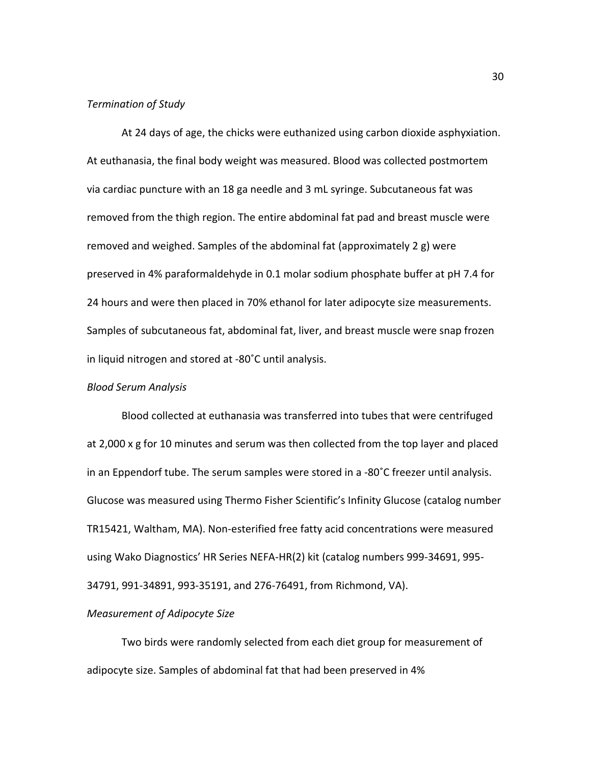#### *Termination of Study*

At 24 days of age, the chicks were euthanized using carbon dioxide asphyxiation. At euthanasia, the final body weight was measured. Blood was collected postmortem via cardiac puncture with an 18 ga needle and 3 mL syringe. Subcutaneous fat was removed from the thigh region. The entire abdominal fat pad and breast muscle were removed and weighed. Samples of the abdominal fat (approximately 2 g) were preserved in 4% paraformaldehyde in 0.1 molar sodium phosphate buffer at pH 7.4 for 24 hours and were then placed in 70% ethanol for later adipocyte size measurements. Samples of subcutaneous fat, abdominal fat, liver, and breast muscle were snap frozen in liquid nitrogen and stored at -80˚C until analysis.

# *Blood Serum Analysis*

Blood collected at euthanasia was transferred into tubes that were centrifuged at 2,000 x g for 10 minutes and serum was then collected from the top layer and placed in an Eppendorf tube. The serum samples were stored in a -80˚C freezer until analysis. Glucose was measured using Thermo Fisher Scientific's Infinity Glucose (catalog number TR15421, Waltham, MA). Non-esterified free fatty acid concentrations were measured using Wako Diagnostics' HR Series NEFA-HR(2) kit (catalog numbers 999-34691, 995- 34791, 991-34891, 993-35191, and 276-76491, from Richmond, VA).

## *Measurement of Adipocyte Size*

Two birds were randomly selected from each diet group for measurement of adipocyte size. Samples of abdominal fat that had been preserved in 4%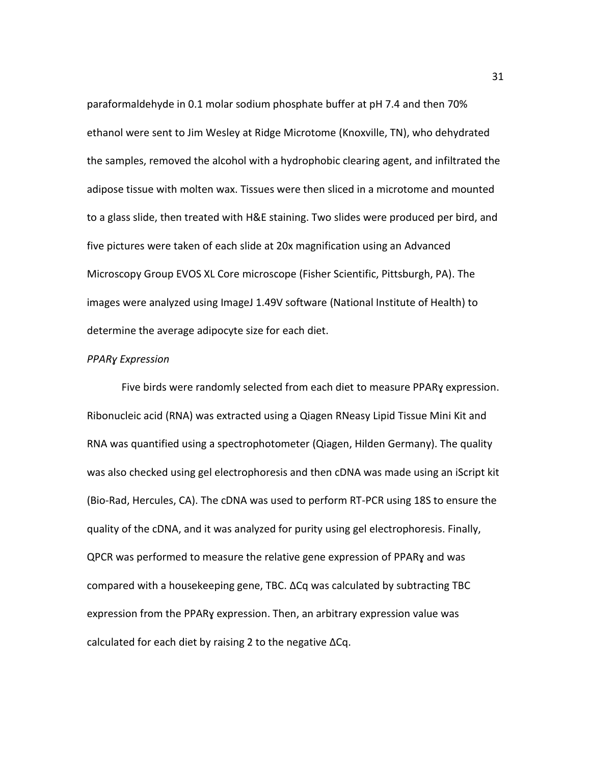paraformaldehyde in 0.1 molar sodium phosphate buffer at pH 7.4 and then 70% ethanol were sent to Jim Wesley at Ridge Microtome (Knoxville, TN), who dehydrated the samples, removed the alcohol with a hydrophobic clearing agent, and infiltrated the adipose tissue with molten wax. Tissues were then sliced in a microtome and mounted to a glass slide, then treated with H&E staining. Two slides were produced per bird, and five pictures were taken of each slide at 20x magnification using an Advanced Microscopy Group EVOS XL Core microscope (Fisher Scientific, Pittsburgh, PA). The images were analyzed using ImageJ 1.49V software (National Institute of Health) to determine the average adipocyte size for each diet.

#### *PPARɣ Expression*

Five birds were randomly selected from each diet to measure PPARɣ expression. Ribonucleic acid (RNA) was extracted using a Qiagen RNeasy Lipid Tissue Mini Kit and RNA was quantified using a spectrophotometer (Qiagen, Hilden Germany). The quality was also checked using gel electrophoresis and then cDNA was made using an iScript kit (Bio-Rad, Hercules, CA). The cDNA was used to perform RT-PCR using 18S to ensure the quality of the cDNA, and it was analyzed for purity using gel electrophoresis. Finally, QPCR was performed to measure the relative gene expression of PPARɣ and was compared with a housekeeping gene, TBC. ΔCq was calculated by subtracting TBC expression from the PPARɣ expression. Then, an arbitrary expression value was calculated for each diet by raising 2 to the negative ΔCq.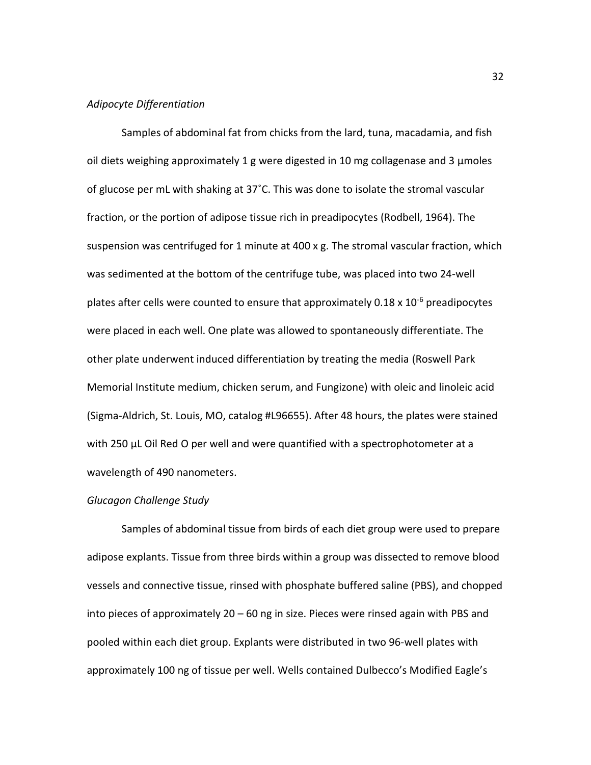# *Adipocyte Differentiation*

Samples of abdominal fat from chicks from the lard, tuna, macadamia, and fish oil diets weighing approximately 1 g were digested in 10 mg collagenase and 3  $\mu$ moles of glucose per mL with shaking at 37˚C. This was done to isolate the stromal vascular fraction, or the portion of adipose tissue rich in preadipocytes [\(Rodbell, 1964\)](#page-70-0). The suspension was centrifuged for 1 minute at 400 x g. The stromal vascular fraction, which was sedimented at the bottom of the centrifuge tube, was placed into two 24-well plates after cells were counted to ensure that approximately  $0.18 \times 10^{-6}$  preadipocytes were placed in each well. One plate was allowed to spontaneously differentiate. The other plate underwent induced differentiation by treating the media (Roswell Park Memorial Institute medium, chicken serum, and Fungizone) with oleic and linoleic acid (Sigma-Aldrich, St. Louis, MO, catalog #L96655). After 48 hours, the plates were stained with 250 µL Oil Red O per well and were quantified with a spectrophotometer at a wavelength of 490 nanometers.

## *Glucagon Challenge Study*

Samples of abdominal tissue from birds of each diet group were used to prepare adipose explants. Tissue from three birds within a group was dissected to remove blood vessels and connective tissue, rinsed with phosphate buffered saline (PBS), and chopped into pieces of approximately 20 – 60 ng in size. Pieces were rinsed again with PBS and pooled within each diet group. Explants were distributed in two 96-well plates with approximately 100 ng of tissue per well. Wells contained Dulbecco's Modified Eagle's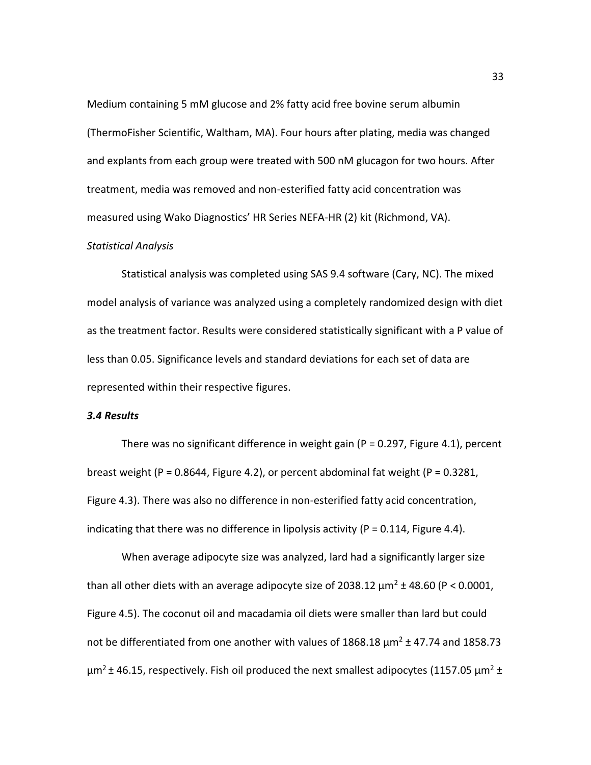Medium containing 5 mM glucose and 2% fatty acid free bovine serum albumin (ThermoFisher Scientific, Waltham, MA). Four hours after plating, media was changed and explants from each group were treated with 500 nM glucagon for two hours. After treatment, media was removed and non-esterified fatty acid concentration was measured using Wako Diagnostics' HR Series NEFA-HR (2) kit (Richmond, VA).

## *Statistical Analysis*

Statistical analysis was completed using SAS 9.4 software (Cary, NC). The mixed model analysis of variance was analyzed using a completely randomized design with diet as the treatment factor. Results were considered statistically significant with a P value of less than 0.05. Significance levels and standard deviations for each set of data are represented within their respective figures.

# *3.4 Results*

There was no significant difference in weight gain ( $P = 0.297$ , [Figure 4](#page-48-1).1), percent breast weight (P = 0.8644, [Figure 4](#page-49-0).2), or percent abdominal fat weight (P = 0.3281, [Figure](#page-49-1) 4.3). There was also no difference in non-esterified fatty acid concentration, indicating that there was no difference in lipolysis activity ( $P = 0.114$ , [Figure 4](#page-50-0).4).

When average adipocyte size was analyzed, lard had a significantly larger size than all other diets with an average adipocyte size of 2038.12  $\mu$ m<sup>2</sup> ± 48.60 (P < 0.0001, Figure 4.5). The coconut oil and macadamia oil diets were smaller than lard but could not be differentiated from one another with values of 1868.18  $\mu$ m<sup>2</sup> ± 47.74 and 1858.73  $\mu$ m<sup>2</sup> ± 46.15, respectively. Fish oil produced the next smallest adipocytes (1157.05  $\mu$ m<sup>2</sup> ±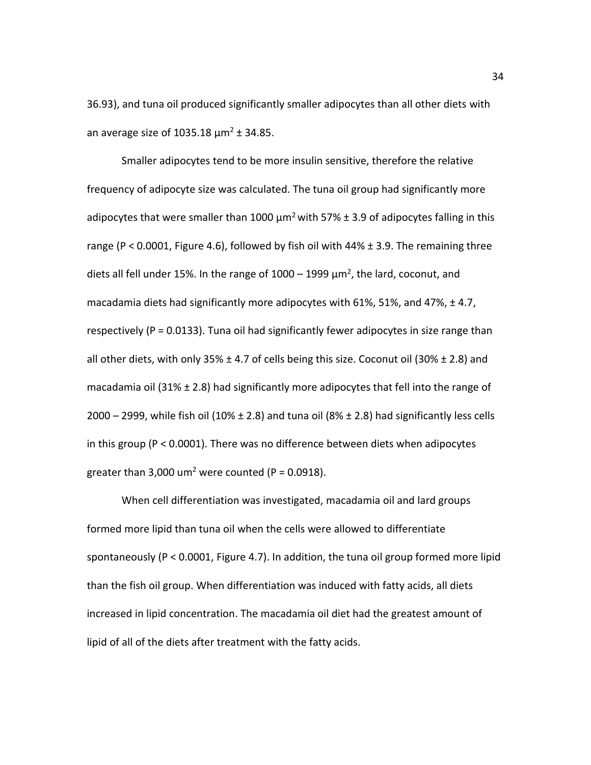36.93), and tuna oil produced significantly smaller adipocytes than all other diets with an average size of 1035.18  $\mu$ m<sup>2</sup> ± 34.85.

Smaller adipocytes tend to be more insulin sensitive, therefore the relative frequency of adipocyte size was calculated. The tuna oil group had significantly more adipocytes that were smaller than 1000  $\mu$ m<sup>2</sup> with 57%  $\pm$  3.9 of adipocytes falling in this range (P < 0.0001, Figure 4.6), followed by fish oil with  $44\% \pm 3.9$ . The remaining three diets all fell under 15%. In the range of  $1000 - 1999 \mu m^2$ , the lard, coconut, and macadamia diets had significantly more adipocytes with 61%, 51%, and 47%, ± 4.7, respectively (P = 0.0133). Tuna oil had significantly fewer adipocytes in size range than all other diets, with only 35%  $\pm$  4.7 of cells being this size. Coconut oil (30%  $\pm$  2.8) and macadamia oil (31%  $\pm$  2.8) had significantly more adipocytes that fell into the range of 2000 – 2999, while fish oil (10%  $\pm$  2.8) and tuna oil (8%  $\pm$  2.8) had significantly less cells in this group (P < 0.0001). There was no difference between diets when adipocytes greater than 3,000 um<sup>2</sup> were counted (P = 0.0918).

When cell differentiation was investigated, macadamia oil and lard groups formed more lipid than tuna oil when the cells were allowed to differentiate spontaneously (P < 0.0001, Figure 4.7). In addition, the tuna oil group formed more lipid than the fish oil group. When differentiation was induced with fatty acids, all diets increased in lipid concentration. The macadamia oil diet had the greatest amount of lipid of all of the diets after treatment with the fatty acids.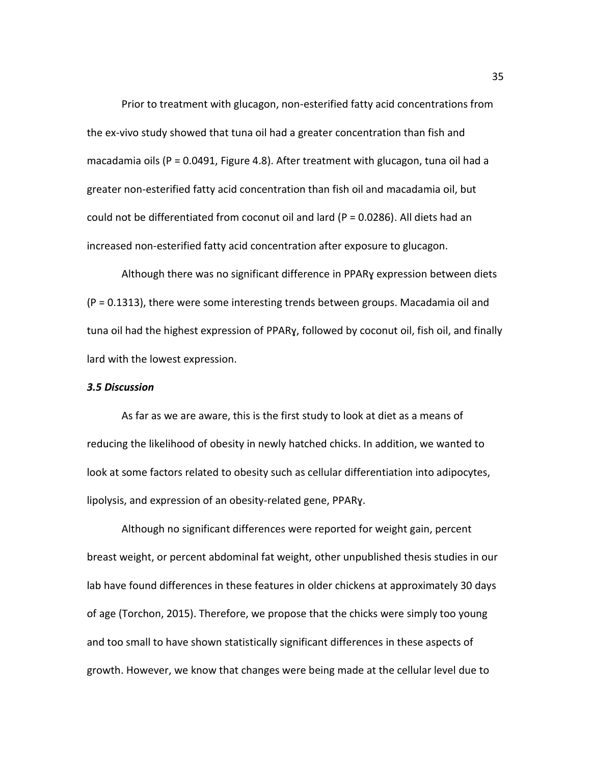Prior to treatment with glucagon, non-esterified fatty acid concentrations from the ex-vivo study showed that tuna oil had a greater concentration than fish and macadamia oils ( $P = 0.0491$ , Figure 4.8). After treatment with glucagon, tuna oil had a greater non-esterified fatty acid concentration than fish oil and macadamia oil, but could not be differentiated from coconut oil and lard (P = 0.0286). All diets had an increased non-esterified fatty acid concentration after exposure to glucagon.

Although there was no significant difference in PPARɣ expression between diets (P = 0.1313), there were some interesting trends between groups. Macadamia oil and tuna oil had the highest expression of PPARɣ, followed by coconut oil, fish oil, and finally lard with the lowest expression.

## *3.5 Discussion*

As far as we are aware, this is the first study to look at diet as a means of reducing the likelihood of obesity in newly hatched chicks. In addition, we wanted to look at some factors related to obesity such as cellular differentiation into adipocytes, lipolysis, and expression of an obesity-related gene, PPARɣ.

Although no significant differences were reported for weight gain, percent breast weight, or percent abdominal fat weight, other unpublished thesis studies in our lab have found differences in these features in older chickens at approximately 30 days of age [\(Torchon, 2015\)](#page-71-0). Therefore, we propose that the chicks were simply too young and too small to have shown statistically significant differences in these aspects of growth. However, we know that changes were being made at the cellular level due to

35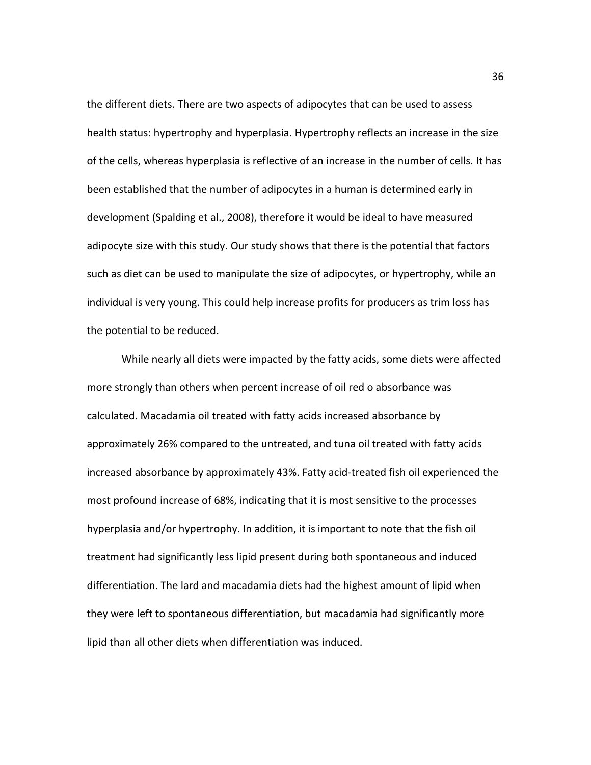the different diets. There are two aspects of adipocytes that can be used to assess health status: hypertrophy and hyperplasia. Hypertrophy reflects an increase in the size of the cells, whereas hyperplasia is reflective of an increase in the number of cells. It has been established that the number of adipocytes in a human is determined early in development [\(Spalding et al., 2008\)](#page-70-1), therefore it would be ideal to have measured adipocyte size with this study. Our study shows that there is the potential that factors such as diet can be used to manipulate the size of adipocytes, or hypertrophy, while an individual is very young. This could help increase profits for producers as trim loss has the potential to be reduced.

While nearly all diets were impacted by the fatty acids, some diets were affected more strongly than others when percent increase of oil red o absorbance was calculated. Macadamia oil treated with fatty acids increased absorbance by approximately 26% compared to the untreated, and tuna oil treated with fatty acids increased absorbance by approximately 43%. Fatty acid-treated fish oil experienced the most profound increase of 68%, indicating that it is most sensitive to the processes hyperplasia and/or hypertrophy. In addition, it is important to note that the fish oil treatment had significantly less lipid present during both spontaneous and induced differentiation. The lard and macadamia diets had the highest amount of lipid when they were left to spontaneous differentiation, but macadamia had significantly more lipid than all other diets when differentiation was induced.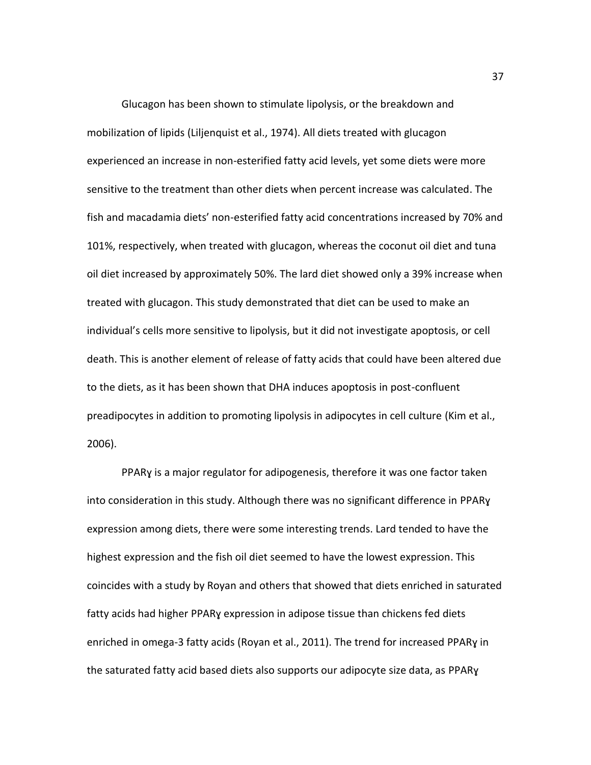Glucagon has been shown to stimulate lipolysis, or the breakdown and mobilization of lipids [\(Liljenquist et al., 1974\)](#page-68-2). All diets treated with glucagon experienced an increase in non-esterified fatty acid levels, yet some diets were more sensitive to the treatment than other diets when percent increase was calculated. The fish and macadamia diets' non-esterified fatty acid concentrations increased by 70% and 101%, respectively, when treated with glucagon, whereas the coconut oil diet and tuna oil diet increased by approximately 50%. The lard diet showed only a 39% increase when treated with glucagon. This study demonstrated that diet can be used to make an individual's cells more sensitive to lipolysis, but it did not investigate apoptosis, or cell death. This is another element of release of fatty acids that could have been altered due to the diets, as it has been shown that DHA induces apoptosis in post-confluent preadipocytes in addition to promoting lipolysis in adipocytes in cell culture [\(Kim et al.,](#page-67-1)  [2006\)](#page-67-1).

PPARɣ is a major regulator for adipogenesis, therefore it was one factor taken into consideration in this study. Although there was no significant difference in PPARɣ expression among diets, there were some interesting trends. Lard tended to have the highest expression and the fish oil diet seemed to have the lowest expression. This coincides with a study by Royan and others that showed that diets enriched in saturated fatty acids had higher PPARɣ expression in adipose tissue than chickens fed diets enriched in omega-3 fatty acids [\(Royan et al., 2011\)](#page-70-2). The trend for increased PPARɣ in the saturated fatty acid based diets also supports our adipocyte size data, as PPARɣ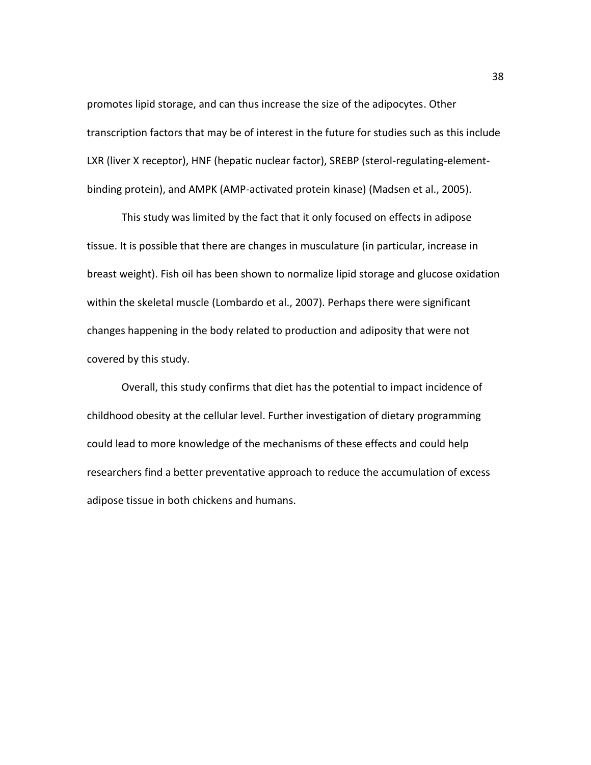promotes lipid storage, and can thus increase the size of the adipocytes. Other transcription factors that may be of interest in the future for studies such as this include LXR (liver X receptor), HNF (hepatic nuclear factor), SREBP (sterol-regulating-elementbinding protein), and AMPK (AMP-activated protein kinase) [\(Madsen et al., 2005\)](#page-68-3).

This study was limited by the fact that it only focused on effects in adipose tissue. It is possible that there are changes in musculature (in particular, increase in breast weight). Fish oil has been shown to normalize lipid storage and glucose oxidation within the skeletal muscle [\(Lombardo et al., 2007\)](#page-68-4). Perhaps there were significant changes happening in the body related to production and adiposity that were not covered by this study.

Overall, this study confirms that diet has the potential to impact incidence of childhood obesity at the cellular level. Further investigation of dietary programming could lead to more knowledge of the mechanisms of these effects and could help researchers find a better preventative approach to reduce the accumulation of excess adipose tissue in both chickens and humans.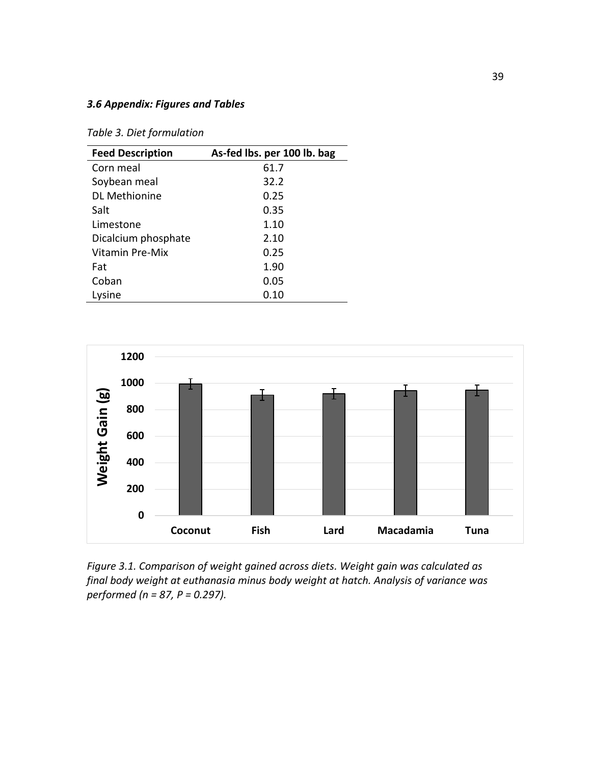# *3.6 Appendix: Figures and Tables*

<span id="page-48-0"></span>*Table 3. Diet formulation*

| <b>Feed Description</b> | As-fed lbs. per 100 lb. bag |
|-------------------------|-----------------------------|
| Corn meal               | 61.7                        |
| Soybean meal            | 32.2                        |
| <b>DL Methionine</b>    | 0.25                        |
| Salt                    | 0.35                        |
| Limestone               | 1.10                        |
| Dicalcium phosphate     | 2.10                        |
| Vitamin Pre-Mix         | 0.25                        |
| Fat                     | 1.90                        |
| Coban                   | 0.05                        |
| Lysine                  | 0.10                        |



<span id="page-48-1"></span>*Figure 3.1. Comparison of weight gained across diets. Weight gain was calculated as final body weight at euthanasia minus body weight at hatch. Analysis of variance was performed (n = 87, P = 0.297).*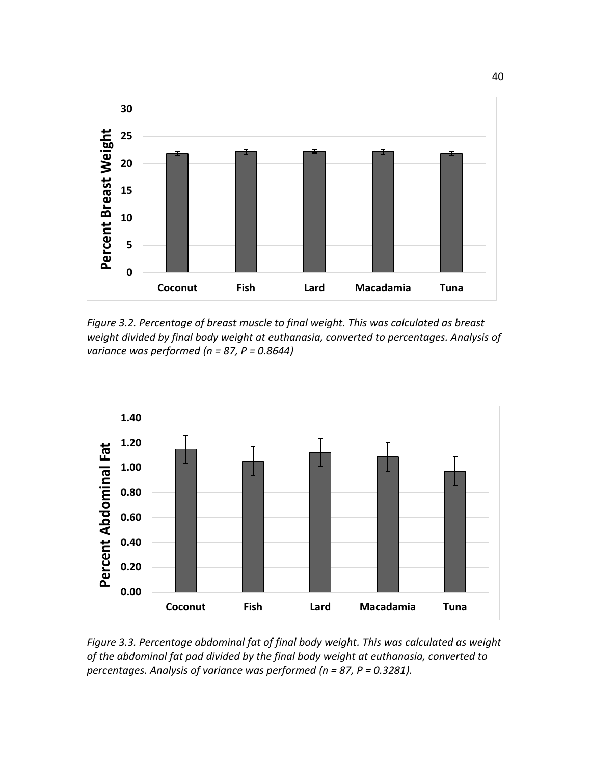

<span id="page-49-0"></span>*Figure 3.2. Percentage of breast muscle to final weight. This was calculated as breast weight divided by final body weight at euthanasia, converted to percentages. Analysis of variance was performed (n = 87, P = 0.8644)*



<span id="page-49-1"></span>*Figure 3.3. Percentage abdominal fat of final body weight. This was calculated as weight of the abdominal fat pad divided by the final body weight at euthanasia, converted to percentages. Analysis of variance was performed (n = 87, P = 0.3281).*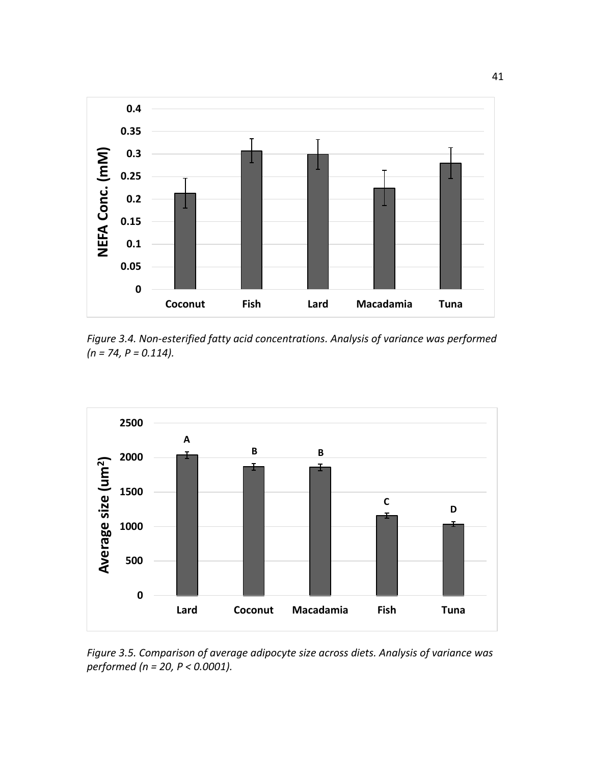

<span id="page-50-0"></span>*Figure 3.4. Non-esterified fatty acid concentrations. Analysis of variance was performed (n = 74, P = 0.114).* 



*Figure 3.5. Comparison of average adipocyte size across diets. Analysis of variance was performed (n = 20, P < 0.0001).*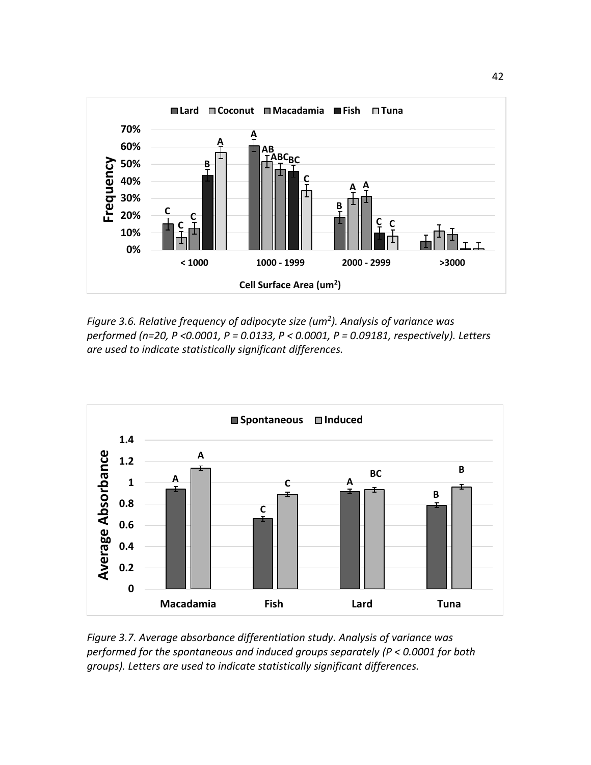

*Figure 3.6. Relative frequency of adipocyte size (um<sup>2</sup> ). Analysis of variance was performed (n=20, P <0.0001, P = 0.0133, P < 0.0001, P = 0.09181, respectively). Letters are used to indicate statistically significant differences.* 



*Figure 3.7. Average absorbance differentiation study. Analysis of variance was performed for the spontaneous and induced groups separately (P < 0.0001 for both groups). Letters are used to indicate statistically significant differences.*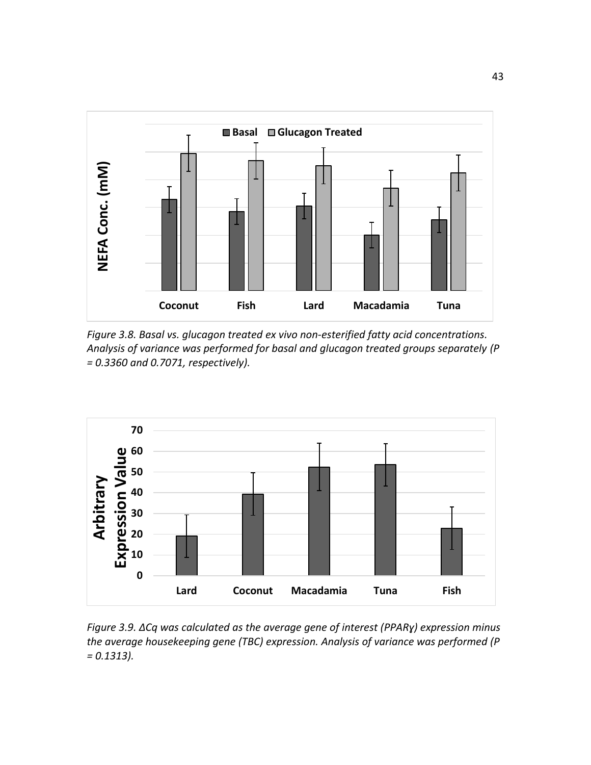

*Figure 3.8. Basal vs. glucagon treated ex vivo non-esterified fatty acid concentrations. Analysis of variance was performed for basal and glucagon treated groups separately (P = 0.3360 and 0.7071, respectively).*



*Figure 3.9. ΔCq was calculated as the average gene of interest (PPARɣ) expression minus the average housekeeping gene (TBC) expression. Analysis of variance was performed (P = 0.1313).*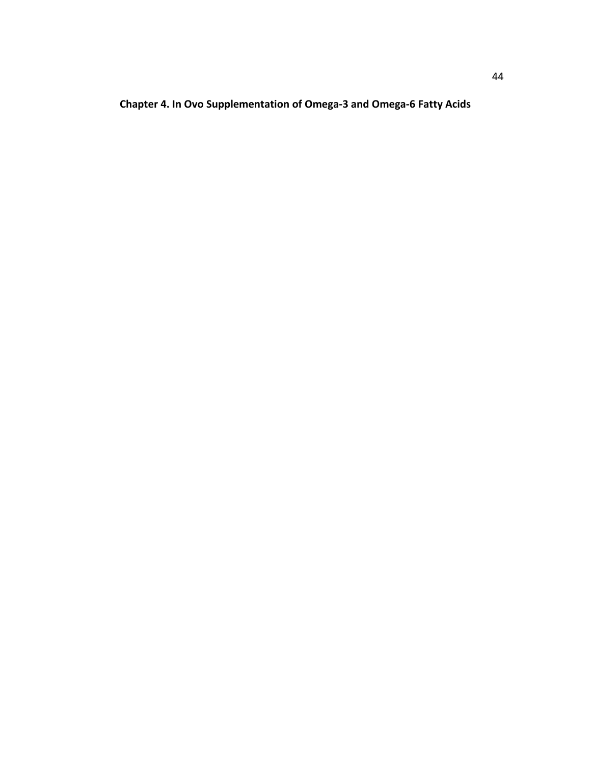**Chapter 4. In Ovo Supplementation of Omega-3 and Omega-6 Fatty Acids**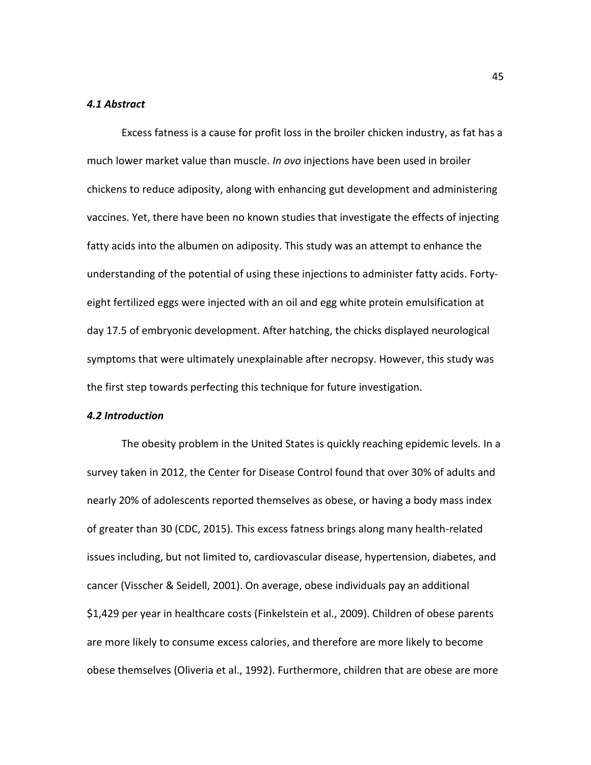#### *4.1 Abstract*

Excess fatness is a cause for profit loss in the broiler chicken industry, as fat has a much lower market value than muscle. *In ovo* injections have been used in broiler chickens to reduce adiposity, along with enhancing gut development and administering vaccines. Yet, there have been no known studies that investigate the effects of injecting fatty acids into the albumen on adiposity. This study was an attempt to enhance the understanding of the potential of using these injections to administer fatty acids. Fortyeight fertilized eggs were injected with an oil and egg white protein emulsification at day 17.5 of embryonic development. After hatching, the chicks displayed neurological symptoms that were ultimately unexplainable after necropsy. However, this study was the first step towards perfecting this technique for future investigation.

# *4.2 Introduction*

The obesity problem in the United States is quickly reaching epidemic levels. In a survey taken in 2012, the Center for Disease Control found that over 30% of adults and nearly 20% of adolescents reported themselves as obese, or having a body mass index of greater than 30 [\(CDC, 2015\)](#page-64-0). This excess fatness brings along many health-related issues including, but not limited to, cardiovascular disease, hypertension, diabetes, and cancer [\(Visscher & Seidell, 2001\)](#page-72-0). On average, obese individuals pay an additional \$1,429 per year in healthcare costs [\(Finkelstein et al., 2009\)](#page-64-1). Children of obese parents are more likely to consume excess calories, and therefore are more likely to become obese themselves [\(Oliveria et al., 1992\)](#page-69-0). Furthermore, children that are obese are more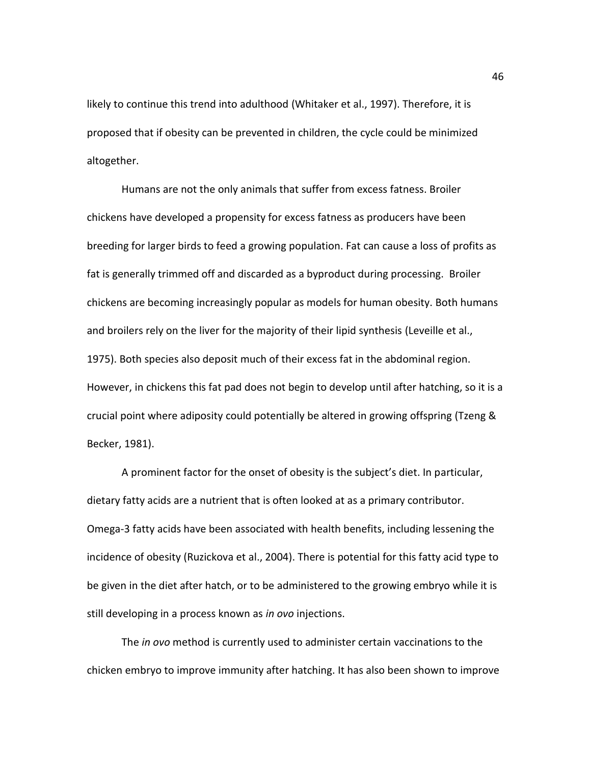likely to continue this trend into adulthood [\(Whitaker et al., 1997\)](#page-72-1). Therefore, it is proposed that if obesity can be prevented in children, the cycle could be minimized altogether.

Humans are not the only animals that suffer from excess fatness. Broiler chickens have developed a propensity for excess fatness as producers have been breeding for larger birds to feed a growing population. Fat can cause a loss of profits as fat is generally trimmed off and discarded as a byproduct during processing. Broiler chickens are becoming increasingly popular as models for human obesity. Both humans and broilers rely on the liver for the majority of their lipid synthesis [\(Leveille et al.,](#page-67-0)  [1975\)](#page-67-0). Both species also deposit much of their excess fat in the abdominal region. However, in chickens this fat pad does not begin to develop until after hatching, so it is a crucial point where adiposity could potentially be altered in growing offspring [\(Tzeng &](#page-71-1)  [Becker, 1981\)](#page-71-1).

A prominent factor for the onset of obesity is the subject's diet. In particular, dietary fatty acids are a nutrient that is often looked at as a primary contributor. Omega-3 fatty acids have been associated with health benefits, including lessening the incidence of obesity [\(Ruzickova et al., 2004\)](#page-70-3). There is potential for this fatty acid type to be given in the diet after hatch, or to be administered to the growing embryo while it is still developing in a process known as *in ovo* injections.

The *in ovo* method is currently used to administer certain vaccinations to the chicken embryo to improve immunity after hatching. It has also been shown to improve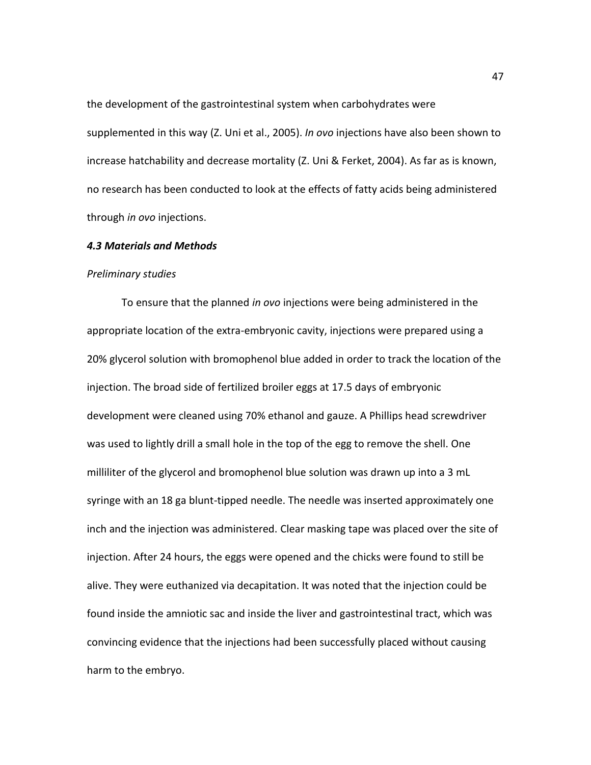the development of the gastrointestinal system when carbohydrates were supplemented in this way [\(Z. Uni et al., 2005\)](#page-72-2). *In ovo* injections have also been shown to increase hatchability and decrease mortality [\(Z. Uni & Ferket, 2004\)](#page-72-3). As far as is known, no research has been conducted to look at the effects of fatty acids being administered through *in ovo* injections.

## *4.3 Materials and Methods*

#### *Preliminary studies*

To ensure that the planned *in ovo* injections were being administered in the appropriate location of the extra-embryonic cavity, injections were prepared using a 20% glycerol solution with bromophenol blue added in order to track the location of the injection. The broad side of fertilized broiler eggs at 17.5 days of embryonic development were cleaned using 70% ethanol and gauze. A Phillips head screwdriver was used to lightly drill a small hole in the top of the egg to remove the shell. One milliliter of the glycerol and bromophenol blue solution was drawn up into a 3 mL syringe with an 18 ga blunt-tipped needle. The needle was inserted approximately one inch and the injection was administered. Clear masking tape was placed over the site of injection. After 24 hours, the eggs were opened and the chicks were found to still be alive. They were euthanized via decapitation. It was noted that the injection could be found inside the amniotic sac and inside the liver and gastrointestinal tract, which was convincing evidence that the injections had been successfully placed without causing harm to the embryo.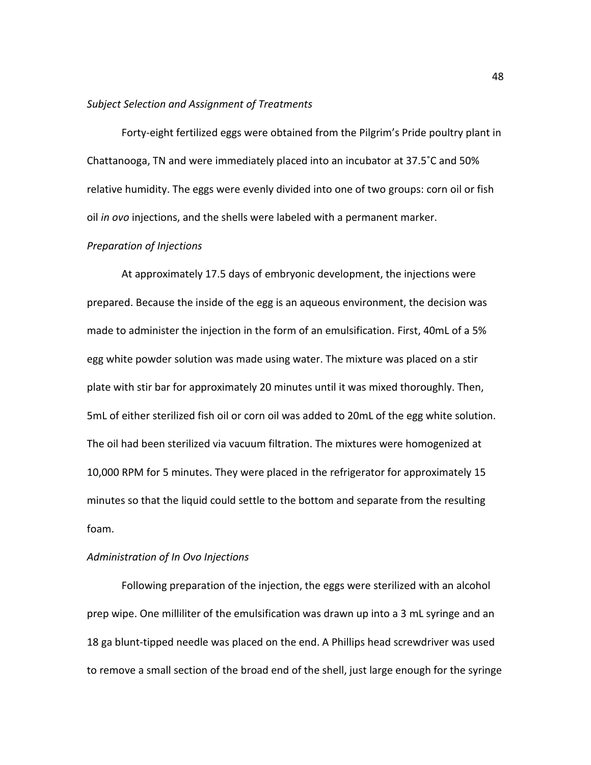#### *Subject Selection and Assignment of Treatments*

Forty-eight fertilized eggs were obtained from the Pilgrim's Pride poultry plant in Chattanooga, TN and were immediately placed into an incubator at 37.5˚C and 50% relative humidity. The eggs were evenly divided into one of two groups: corn oil or fish oil *in ovo* injections, and the shells were labeled with a permanent marker.

## *Preparation of Injections*

At approximately 17.5 days of embryonic development, the injections were prepared. Because the inside of the egg is an aqueous environment, the decision was made to administer the injection in the form of an emulsification. First, 40mL of a 5% egg white powder solution was made using water. The mixture was placed on a stir plate with stir bar for approximately 20 minutes until it was mixed thoroughly. Then, 5mL of either sterilized fish oil or corn oil was added to 20mL of the egg white solution. The oil had been sterilized via vacuum filtration. The mixtures were homogenized at 10,000 RPM for 5 minutes. They were placed in the refrigerator for approximately 15 minutes so that the liquid could settle to the bottom and separate from the resulting foam.

# *Administration of In Ovo Injections*

Following preparation of the injection, the eggs were sterilized with an alcohol prep wipe. One milliliter of the emulsification was drawn up into a 3 mL syringe and an 18 ga blunt-tipped needle was placed on the end. A Phillips head screwdriver was used to remove a small section of the broad end of the shell, just large enough for the syringe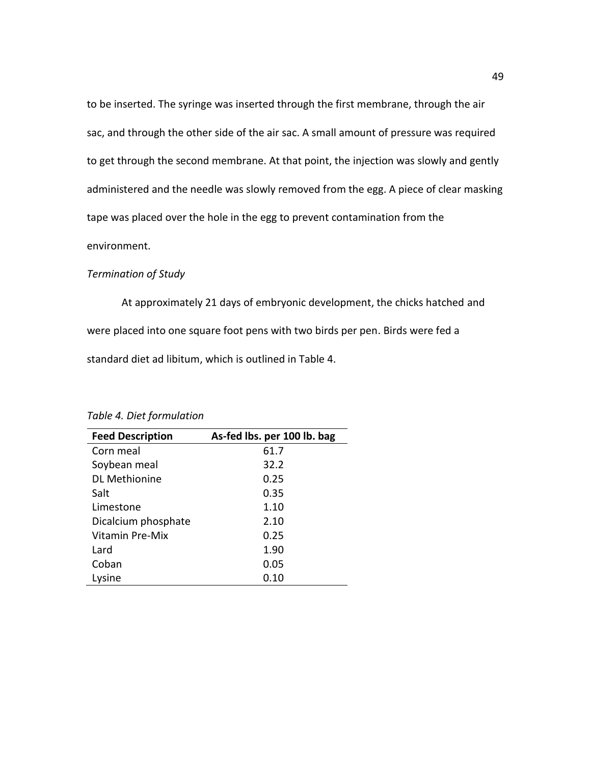to be inserted. The syringe was inserted through the first membrane, through the air sac, and through the other side of the air sac. A small amount of pressure was required to get through the second membrane. At that point, the injection was slowly and gently administered and the needle was slowly removed from the egg. A piece of clear masking tape was placed over the hole in the egg to prevent contamination from the environment.

## *Termination of Study*

At approximately 21 days of embryonic development, the chicks hatched and were placed into one square foot pens with two birds per pen. Birds were fed a standard diet ad libitum, which is outlined in Table 4.

| <b>Feed Description</b> | As-fed lbs. per 100 lb. bag |
|-------------------------|-----------------------------|
| Corn meal               | 61.7                        |
| Soybean meal            | 32.2                        |
| DL Methionine           | 0.25                        |
| Salt                    | 0.35                        |
| Limestone               | 1.10                        |
| Dicalcium phosphate     | 2.10                        |
| Vitamin Pre-Mix         | 0.25                        |
| Lard                    | 1.90                        |
| Coban                   | 0.05                        |
| Lysine                  | 0.10                        |

*Table 4. Diet formulation*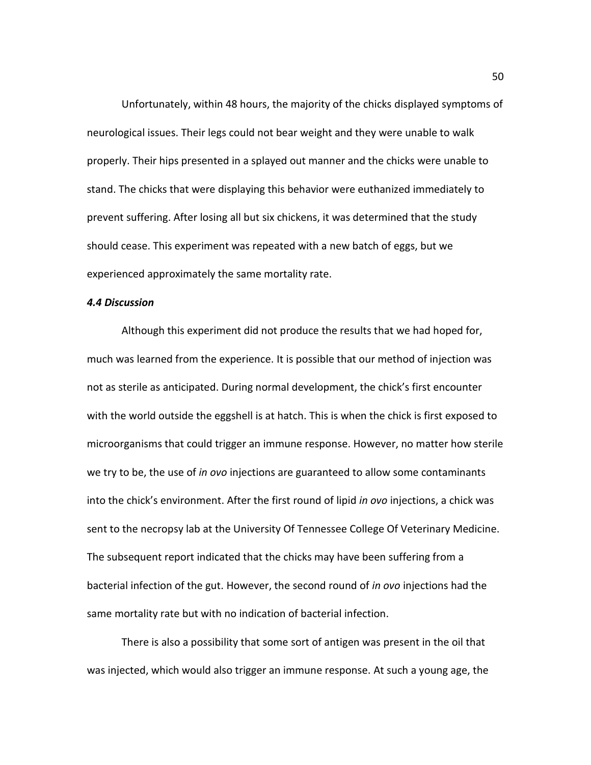Unfortunately, within 48 hours, the majority of the chicks displayed symptoms of neurological issues. Their legs could not bear weight and they were unable to walk properly. Their hips presented in a splayed out manner and the chicks were unable to stand. The chicks that were displaying this behavior were euthanized immediately to prevent suffering. After losing all but six chickens, it was determined that the study should cease. This experiment was repeated with a new batch of eggs, but we experienced approximately the same mortality rate.

## *4.4 Discussion*

Although this experiment did not produce the results that we had hoped for, much was learned from the experience. It is possible that our method of injection was not as sterile as anticipated. During normal development, the chick's first encounter with the world outside the eggshell is at hatch. This is when the chick is first exposed to microorganisms that could trigger an immune response. However, no matter how sterile we try to be, the use of *in ovo* injections are guaranteed to allow some contaminants into the chick's environment. After the first round of lipid *in ovo* injections, a chick was sent to the necropsy lab at the University Of Tennessee College Of Veterinary Medicine. The subsequent report indicated that the chicks may have been suffering from a bacterial infection of the gut. However, the second round of *in ovo* injections had the same mortality rate but with no indication of bacterial infection.

There is also a possibility that some sort of antigen was present in the oil that was injected, which would also trigger an immune response. At such a young age, the

50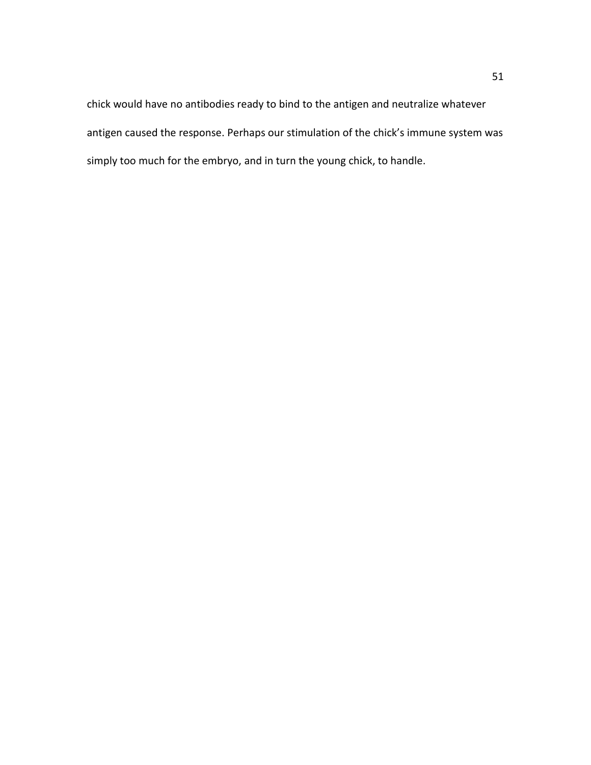chick would have no antibodies ready to bind to the antigen and neutralize whatever antigen caused the response. Perhaps our stimulation of the chick's immune system was simply too much for the embryo, and in turn the young chick, to handle.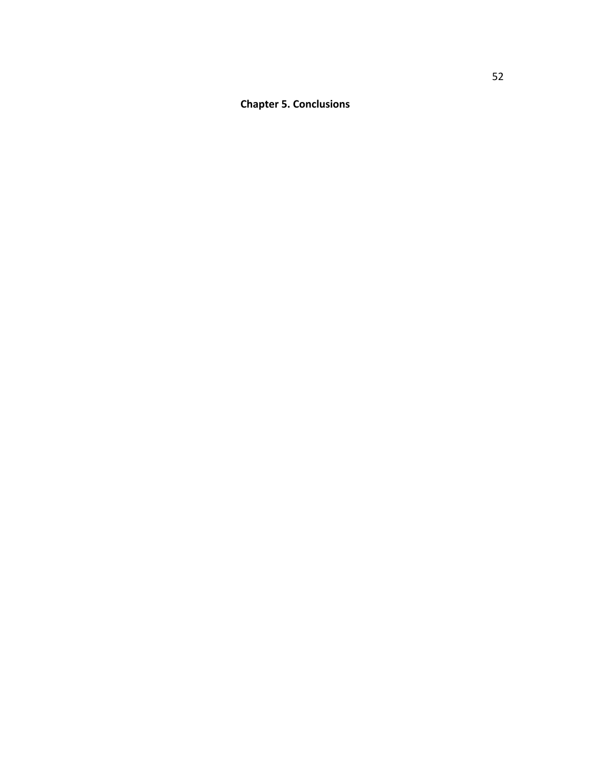**Chapter 5. Conclusions**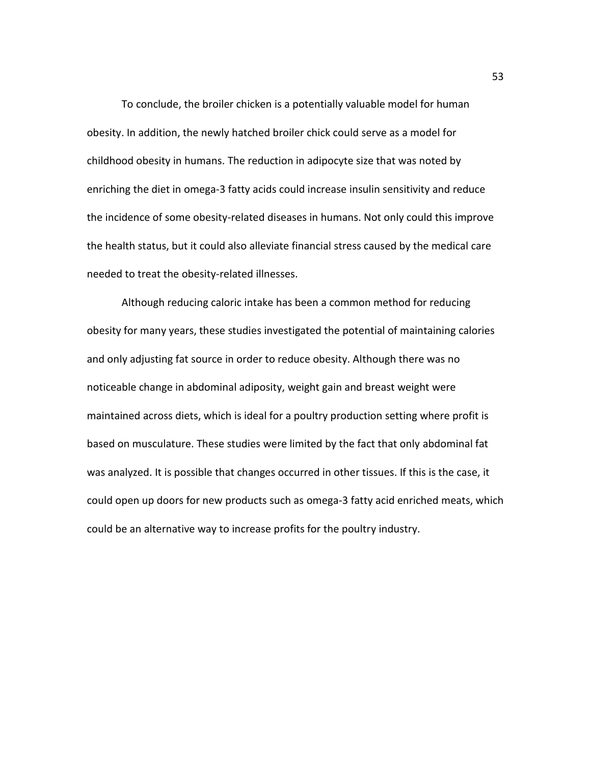To conclude, the broiler chicken is a potentially valuable model for human obesity. In addition, the newly hatched broiler chick could serve as a model for childhood obesity in humans. The reduction in adipocyte size that was noted by enriching the diet in omega-3 fatty acids could increase insulin sensitivity and reduce the incidence of some obesity-related diseases in humans. Not only could this improve the health status, but it could also alleviate financial stress caused by the medical care needed to treat the obesity-related illnesses.

Although reducing caloric intake has been a common method for reducing obesity for many years, these studies investigated the potential of maintaining calories and only adjusting fat source in order to reduce obesity. Although there was no noticeable change in abdominal adiposity, weight gain and breast weight were maintained across diets, which is ideal for a poultry production setting where profit is based on musculature. These studies were limited by the fact that only abdominal fat was analyzed. It is possible that changes occurred in other tissues. If this is the case, it could open up doors for new products such as omega-3 fatty acid enriched meats, which could be an alternative way to increase profits for the poultry industry.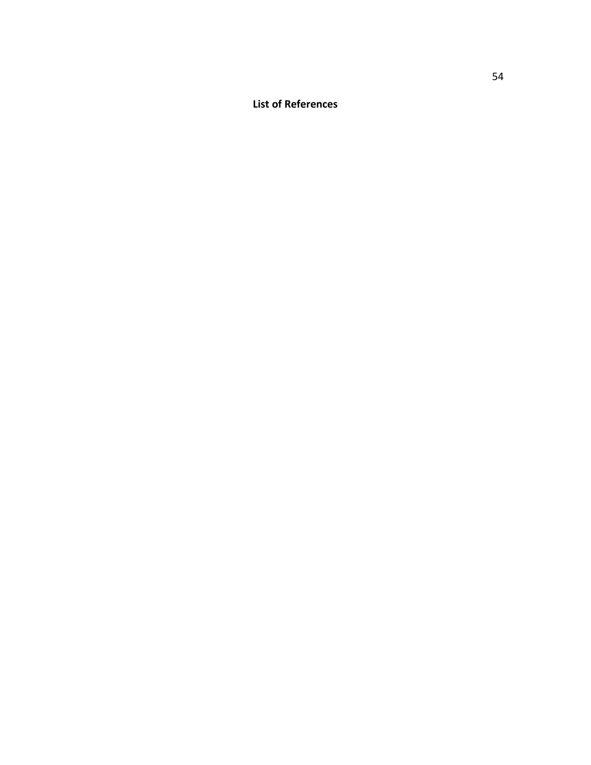**List of References**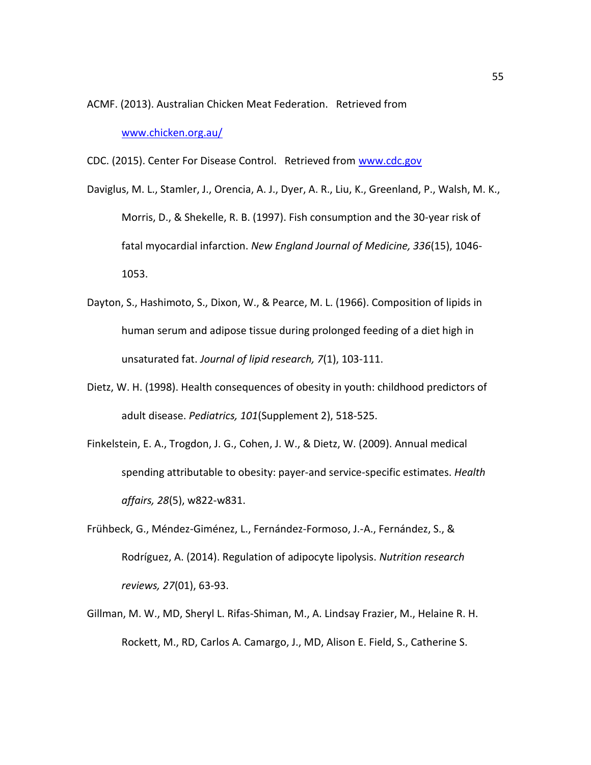ACMF. (2013). Australian Chicken Meat Federation. Retrieved from

[www.chicken.org.au/](http://www.chicken.org.au/)

<span id="page-64-0"></span>CDC. (2015). Center For Disease Control. Retrieved from [www.cdc.gov](http://www.cdc.gov/)

- Daviglus, M. L., Stamler, J., Orencia, A. J., Dyer, A. R., Liu, K., Greenland, P., Walsh, M. K., Morris, D., & Shekelle, R. B. (1997). Fish consumption and the 30-year risk of fatal myocardial infarction. *New England Journal of Medicine, 336*(15), 1046- 1053.
- Dayton, S., Hashimoto, S., Dixon, W., & Pearce, M. L. (1966). Composition of lipids in human serum and adipose tissue during prolonged feeding of a diet high in unsaturated fat. *Journal of lipid research, 7*(1), 103-111.
- Dietz, W. H. (1998). Health consequences of obesity in youth: childhood predictors of adult disease. *Pediatrics, 101*(Supplement 2), 518-525.
- <span id="page-64-1"></span>Finkelstein, E. A., Trogdon, J. G., Cohen, J. W., & Dietz, W. (2009). Annual medical spending attributable to obesity: payer-and service-specific estimates. *Health affairs, 28*(5), w822-w831.
- Frühbeck, G., Méndez-Giménez, L., Fernández-Formoso, J.-A., Fernández, S., & Rodríguez, A. (2014). Regulation of adipocyte lipolysis. *Nutrition research reviews, 27*(01), 63-93.
- Gillman, M. W., MD, Sheryl L. Rifas-Shiman, M., A. Lindsay Frazier, M., Helaine R. H. Rockett, M., RD, Carlos A. Camargo, J., MD, Alison E. Field, S., Catherine S.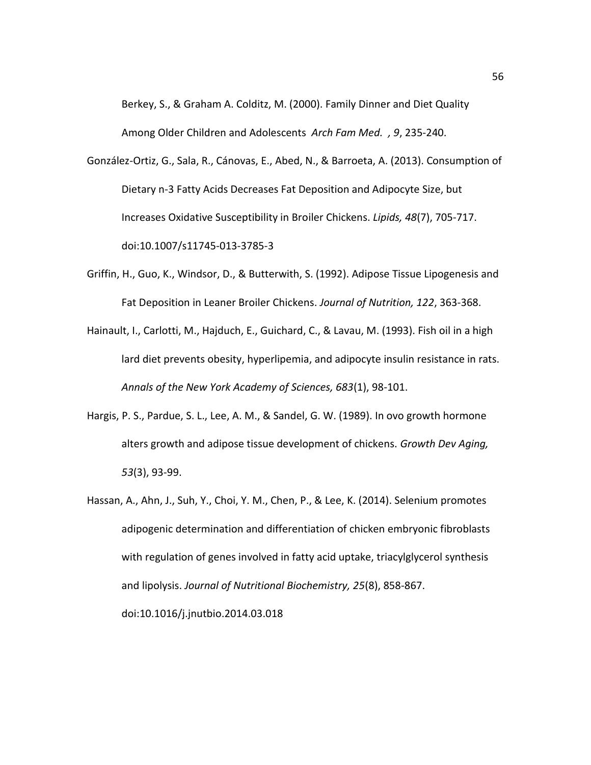Berkey, S., & Graham A. Colditz, M. (2000). Family Dinner and Diet Quality Among Older Children and Adolescents *Arch Fam Med. , 9*, 235-240.

González-Ortiz, G., Sala, R., Cánovas, E., Abed, N., & Barroeta, A. (2013). Consumption of Dietary n-3 Fatty Acids Decreases Fat Deposition and Adipocyte Size, but Increases Oxidative Susceptibility in Broiler Chickens. *Lipids, 48*(7), 705-717. doi:10.1007/s11745-013-3785-3

- Griffin, H., Guo, K., Windsor, D., & Butterwith, S. (1992). Adipose Tissue Lipogenesis and Fat Deposition in Leaner Broiler Chickens. *Journal of Nutrition, 122*, 363-368.
- Hainault, I., Carlotti, M., Hajduch, E., Guichard, C., & Lavau, M. (1993). Fish oil in a high lard diet prevents obesity, hyperlipemia, and adipocyte insulin resistance in rats. *Annals of the New York Academy of Sciences, 683*(1), 98-101.
- Hargis, P. S., Pardue, S. L., Lee, A. M., & Sandel, G. W. (1989). In ovo growth hormone alters growth and adipose tissue development of chickens. *Growth Dev Aging, 53*(3), 93-99.
- Hassan, A., Ahn, J., Suh, Y., Choi, Y. M., Chen, P., & Lee, K. (2014). Selenium promotes adipogenic determination and differentiation of chicken embryonic fibroblasts with regulation of genes involved in fatty acid uptake, triacylglycerol synthesis and lipolysis. *Journal of Nutritional Biochemistry, 25*(8), 858-867.

doi:10.1016/j.jnutbio.2014.03.018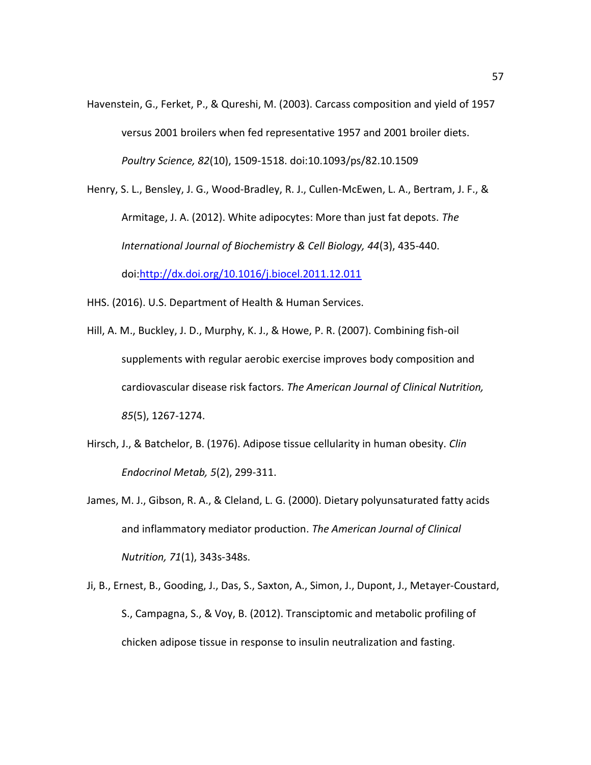Havenstein, G., Ferket, P., & Qureshi, M. (2003). Carcass composition and yield of 1957 versus 2001 broilers when fed representative 1957 and 2001 broiler diets. *Poultry Science, 82*(10), 1509-1518. doi:10.1093/ps/82.10.1509

Henry, S. L., Bensley, J. G., Wood-Bradley, R. J., Cullen-McEwen, L. A., Bertram, J. F., & Armitage, J. A. (2012). White adipocytes: More than just fat depots. *The International Journal of Biochemistry & Cell Biology, 44*(3), 435-440. doi[:http://dx.doi.org/10.1016/j.biocel.2011.12.011](http://dx.doi.org/10.1016/j.biocel.2011.12.011)

HHS. (2016). U.S. Department of Health & Human Services.

- Hill, A. M., Buckley, J. D., Murphy, K. J., & Howe, P. R. (2007). Combining fish-oil supplements with regular aerobic exercise improves body composition and cardiovascular disease risk factors. *The American Journal of Clinical Nutrition, 85*(5), 1267-1274.
- Hirsch, J., & Batchelor, B. (1976). Adipose tissue cellularity in human obesity. *Clin Endocrinol Metab, 5*(2), 299-311.
- James, M. J., Gibson, R. A., & Cleland, L. G. (2000). Dietary polyunsaturated fatty acids and inflammatory mediator production. *The American Journal of Clinical Nutrition, 71*(1), 343s-348s.
- Ji, B., Ernest, B., Gooding, J., Das, S., Saxton, A., Simon, J., Dupont, J., Metayer-Coustard, S., Campagna, S., & Voy, B. (2012). Transciptomic and metabolic profiling of chicken adipose tissue in response to insulin neutralization and fasting.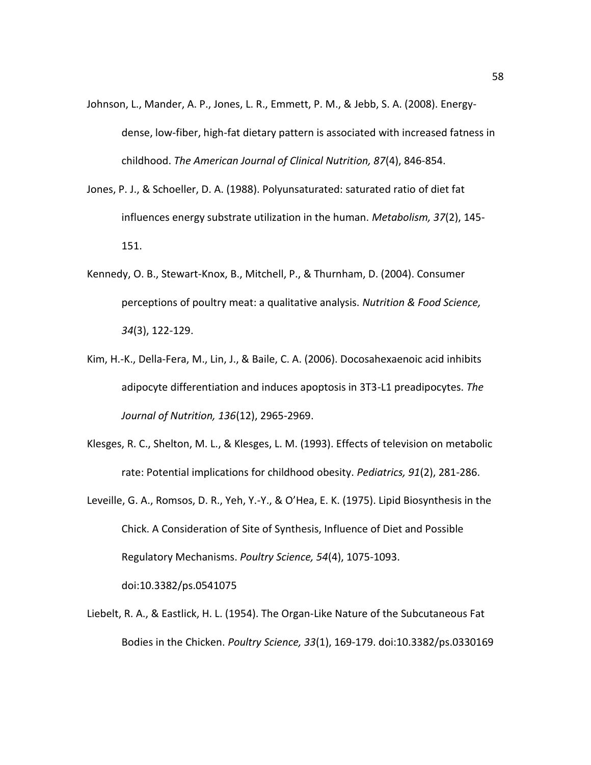- Johnson, L., Mander, A. P., Jones, L. R., Emmett, P. M., & Jebb, S. A. (2008). Energydense, low-fiber, high-fat dietary pattern is associated with increased fatness in childhood. *The American Journal of Clinical Nutrition, 87*(4), 846-854.
- Jones, P. J., & Schoeller, D. A. (1988). Polyunsaturated: saturated ratio of diet fat influences energy substrate utilization in the human. *Metabolism, 37*(2), 145- 151.
- Kennedy, O. B., Stewart-Knox, B., Mitchell, P., & Thurnham, D. (2004). Consumer perceptions of poultry meat: a qualitative analysis. *Nutrition & Food Science, 34*(3), 122-129.
- <span id="page-67-1"></span>Kim, H.-K., Della-Fera, M., Lin, J., & Baile, C. A. (2006). Docosahexaenoic acid inhibits adipocyte differentiation and induces apoptosis in 3T3-L1 preadipocytes. *The Journal of Nutrition, 136*(12), 2965-2969.
- Klesges, R. C., Shelton, M. L., & Klesges, L. M. (1993). Effects of television on metabolic rate: Potential implications for childhood obesity. *Pediatrics, 91*(2), 281-286.
- <span id="page-67-0"></span>Leveille, G. A., Romsos, D. R., Yeh, Y.-Y., & O'Hea, E. K. (1975). Lipid Biosynthesis in the Chick. A Consideration of Site of Synthesis, Influence of Diet and Possible Regulatory Mechanisms. *Poultry Science, 54*(4), 1075-1093. doi:10.3382/ps.0541075
- Liebelt, R. A., & Eastlick, H. L. (1954). The Organ-Like Nature of the Subcutaneous Fat Bodies in the Chicken. *Poultry Science, 33*(1), 169-179. doi:10.3382/ps.0330169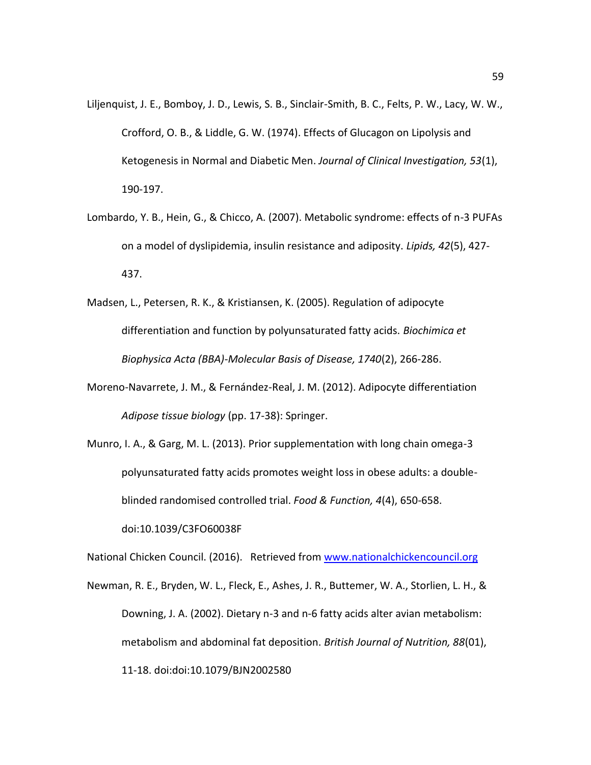- <span id="page-68-2"></span>Liljenquist, J. E., Bomboy, J. D., Lewis, S. B., Sinclair-Smith, B. C., Felts, P. W., Lacy, W. W., Crofford, O. B., & Liddle, G. W. (1974). Effects of Glucagon on Lipolysis and Ketogenesis in Normal and Diabetic Men. *Journal of Clinical Investigation, 53*(1), 190-197.
- <span id="page-68-4"></span>Lombardo, Y. B., Hein, G., & Chicco, A. (2007). Metabolic syndrome: effects of n-3 PUFAs on a model of dyslipidemia, insulin resistance and adiposity. *Lipids, 42*(5), 427- 437.
- <span id="page-68-3"></span>Madsen, L., Petersen, R. K., & Kristiansen, K. (2005). Regulation of adipocyte differentiation and function by polyunsaturated fatty acids. *Biochimica et Biophysica Acta (BBA)-Molecular Basis of Disease, 1740*(2), 266-286.
- Moreno-Navarrete, J. M., & Fernández-Real, J. M. (2012). Adipocyte differentiation *Adipose tissue biology* (pp. 17-38): Springer.
- <span id="page-68-1"></span>Munro, I. A., & Garg, M. L. (2013). Prior supplementation with long chain omega-3 polyunsaturated fatty acids promotes weight loss in obese adults: a doubleblinded randomised controlled trial. *Food & Function, 4*(4), 650-658. doi:10.1039/C3FO60038F

National Chicken Council. (2016). Retrieved from [www.nationalchickencouncil.org](http://www.nationalchickencouncil.org/)

<span id="page-68-0"></span>Newman, R. E., Bryden, W. L., Fleck, E., Ashes, J. R., Buttemer, W. A., Storlien, L. H., & Downing, J. A. (2002). Dietary n-3 and n-6 fatty acids alter avian metabolism: metabolism and abdominal fat deposition. *British Journal of Nutrition, 88*(01), 11-18. doi:doi:10.1079/BJN2002580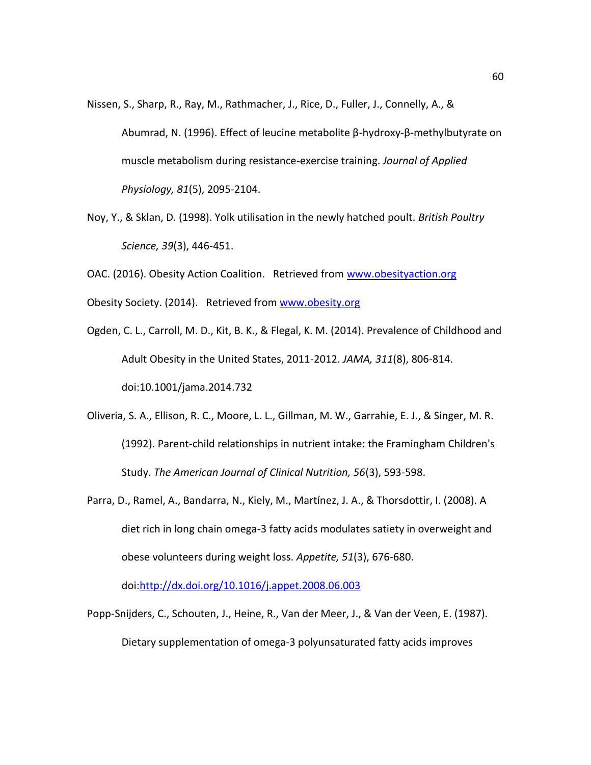- Nissen, S., Sharp, R., Ray, M., Rathmacher, J., Rice, D., Fuller, J., Connelly, A., & Abumrad, N. (1996). Effect of leucine metabolite β-hydroxy-β-methylbutyrate on muscle metabolism during resistance-exercise training. *Journal of Applied Physiology, 81*(5), 2095-2104.
- Noy, Y., & Sklan, D. (1998). Yolk utilisation in the newly hatched poult. *British Poultry Science, 39*(3), 446-451.

OAC. (2016). Obesity Action Coalition. Retrieved from [www.obesityaction.org](http://www.obesityaction.org/) Obesity Society. (2014). Retrieved fro[m www.obesity.org](http://www.obesity.org/)

- Ogden, C. L., Carroll, M. D., Kit, B. K., & Flegal, K. M. (2014). Prevalence of Childhood and Adult Obesity in the United States, 2011-2012. *JAMA, 311*(8), 806-814. doi:10.1001/jama.2014.732
- <span id="page-69-0"></span>Oliveria, S. A., Ellison, R. C., Moore, L. L., Gillman, M. W., Garrahie, E. J., & Singer, M. R. (1992). Parent-child relationships in nutrient intake: the Framingham Children's Study. *The American Journal of Clinical Nutrition, 56*(3), 593-598.
- Parra, D., Ramel, A., Bandarra, N., Kiely, M., Martínez, J. A., & Thorsdottir, I. (2008). A diet rich in long chain omega-3 fatty acids modulates satiety in overweight and obese volunteers during weight loss. *Appetite, 51*(3), 676-680.

doi[:http://dx.doi.org/10.1016/j.appet.2008.06.003](http://dx.doi.org/10.1016/j.appet.2008.06.003)

Popp-Snijders, C., Schouten, J., Heine, R., Van der Meer, J., & Van der Veen, E. (1987). Dietary supplementation of omega-3 polyunsaturated fatty acids improves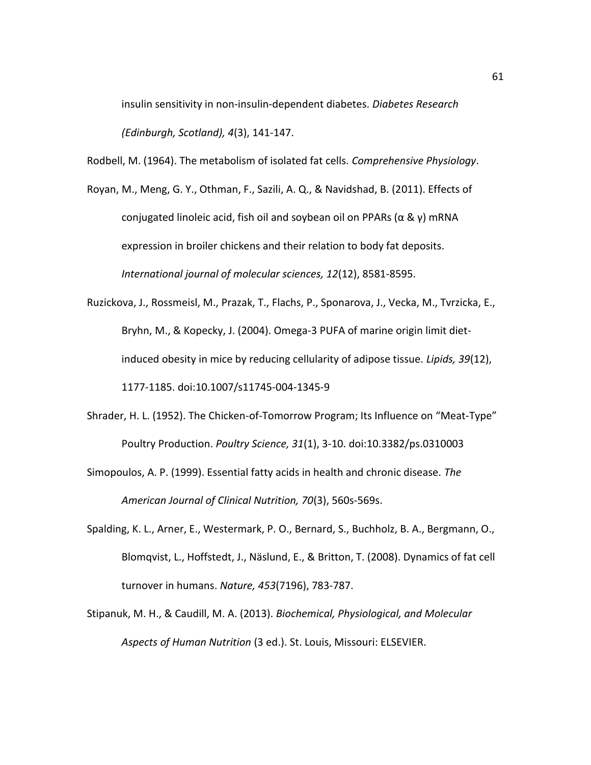insulin sensitivity in non-insulin-dependent diabetes. *Diabetes Research (Edinburgh, Scotland), 4*(3), 141-147.

<span id="page-70-0"></span>Rodbell, M. (1964). The metabolism of isolated fat cells. *Comprehensive Physiology*.

<span id="page-70-2"></span>Royan, M., Meng, G. Y., Othman, F., Sazili, A. Q., & Navidshad, B. (2011). Effects of conjugated linoleic acid, fish oil and soybean oil on PPARs (α & γ) mRNA expression in broiler chickens and their relation to body fat deposits. *International journal of molecular sciences, 12*(12), 8581-8595.

<span id="page-70-3"></span>Ruzickova, J., Rossmeisl, M., Prazak, T., Flachs, P., Sponarova, J., Vecka, M., Tvrzicka, E., Bryhn, M., & Kopecky, J. (2004). Omega-3 PUFA of marine origin limit dietinduced obesity in mice by reducing cellularity of adipose tissue. *Lipids, 39*(12), 1177-1185. doi:10.1007/s11745-004-1345-9

Shrader, H. L. (1952). The Chicken-of-Tomorrow Program; Its Influence on "Meat-Type" Poultry Production. *Poultry Science, 31*(1), 3-10. doi:10.3382/ps.0310003

Simopoulos, A. P. (1999). Essential fatty acids in health and chronic disease. *The American Journal of Clinical Nutrition, 70*(3), 560s-569s.

- <span id="page-70-1"></span>Spalding, K. L., Arner, E., Westermark, P. O., Bernard, S., Buchholz, B. A., Bergmann, O., Blomqvist, L., Hoffstedt, J., Näslund, E., & Britton, T. (2008). Dynamics of fat cell turnover in humans. *Nature, 453*(7196), 783-787.
- Stipanuk, M. H., & Caudill, M. A. (2013). *Biochemical, Physiological, and Molecular Aspects of Human Nutrition* (3 ed.). St. Louis, Missouri: ELSEVIER.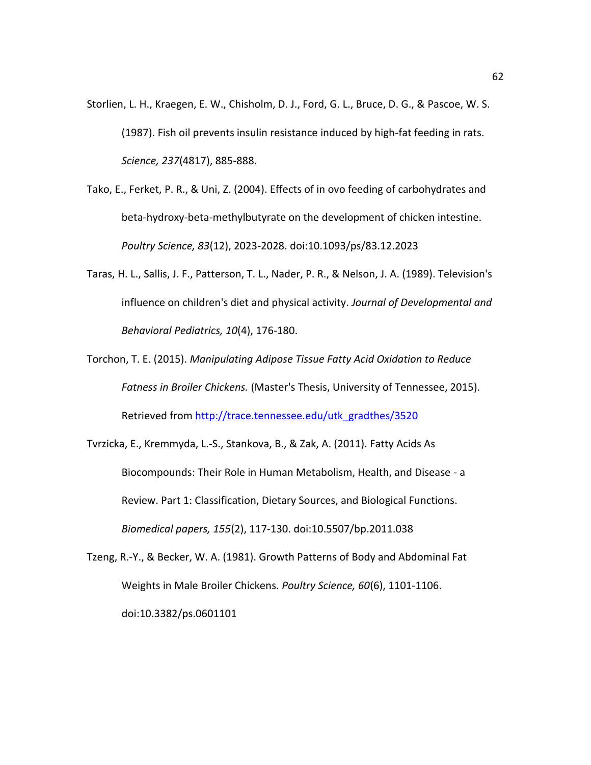- Storlien, L. H., Kraegen, E. W., Chisholm, D. J., Ford, G. L., Bruce, D. G., & Pascoe, W. S. (1987). Fish oil prevents insulin resistance induced by high-fat feeding in rats. *Science, 237*(4817), 885-888.
- Tako, E., Ferket, P. R., & Uni, Z. (2004). Effects of in ovo feeding of carbohydrates and beta-hydroxy-beta-methylbutyrate on the development of chicken intestine. *Poultry Science, 83*(12), 2023-2028. doi:10.1093/ps/83.12.2023
- Taras, H. L., Sallis, J. F., Patterson, T. L., Nader, P. R., & Nelson, J. A. (1989). Television's influence on children's diet and physical activity. *Journal of Developmental and Behavioral Pediatrics, 10*(4), 176-180.
- <span id="page-71-0"></span>Torchon, T. E. (2015). *Manipulating Adipose Tissue Fatty Acid Oxidation to Reduce Fatness in Broiler Chickens.* (Master's Thesis, University of Tennessee, 2015). Retrieved from [http://trace.tennessee.edu/utk\\_gradthes/3520](http://trace.tennessee.edu/utk_gradthes/3520)
- Tvrzicka, E., Kremmyda, L.-S., Stankova, B., & Zak, A. (2011). Fatty Acids As Biocompounds: Their Role in Human Metabolism, Health, and Disease - a Review. Part 1: Classification, Dietary Sources, and Biological Functions. *Biomedical papers, 155*(2), 117-130. doi:10.5507/bp.2011.038
- <span id="page-71-1"></span>Tzeng, R.-Y., & Becker, W. A. (1981). Growth Patterns of Body and Abdominal Fat Weights in Male Broiler Chickens. *Poultry Science, 60*(6), 1101-1106. doi:10.3382/ps.0601101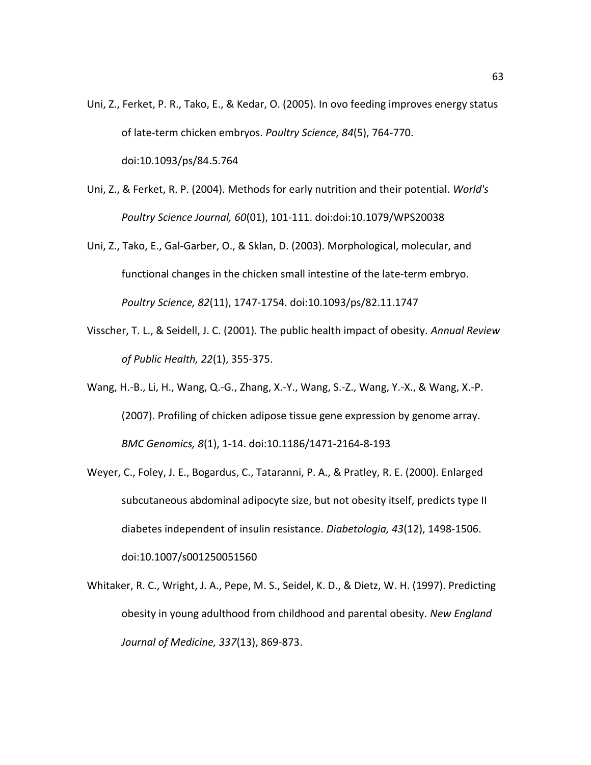- Uni, Z., Ferket, P. R., Tako, E., & Kedar, O. (2005). In ovo feeding improves energy status of late-term chicken embryos. *Poultry Science, 84*(5), 764-770. doi:10.1093/ps/84.5.764
- Uni, Z., & Ferket, R. P. (2004). Methods for early nutrition and their potential. *World's Poultry Science Journal, 60*(01), 101-111. doi:doi:10.1079/WPS20038
- Uni, Z., Tako, E., Gal-Garber, O., & Sklan, D. (2003). Morphological, molecular, and functional changes in the chicken small intestine of the late-term embryo. *Poultry Science, 82*(11), 1747-1754. doi:10.1093/ps/82.11.1747
- Visscher, T. L., & Seidell, J. C. (2001). The public health impact of obesity. *Annual Review of Public Health, 22*(1), 355-375.
- Wang, H.-B., Li, H., Wang, Q.-G., Zhang, X.-Y., Wang, S.-Z., Wang, Y.-X., & Wang, X.-P. (2007). Profiling of chicken adipose tissue gene expression by genome array. *BMC Genomics, 8*(1), 1-14. doi:10.1186/1471-2164-8-193
- Weyer, C., Foley, J. E., Bogardus, C., Tataranni, P. A., & Pratley, R. E. (2000). Enlarged subcutaneous abdominal adipocyte size, but not obesity itself, predicts type II diabetes independent of insulin resistance. *Diabetologia, 43*(12), 1498-1506. doi:10.1007/s001250051560
- Whitaker, R. C., Wright, J. A., Pepe, M. S., Seidel, K. D., & Dietz, W. H. (1997). Predicting obesity in young adulthood from childhood and parental obesity. *New England Journal of Medicine, 337*(13), 869-873.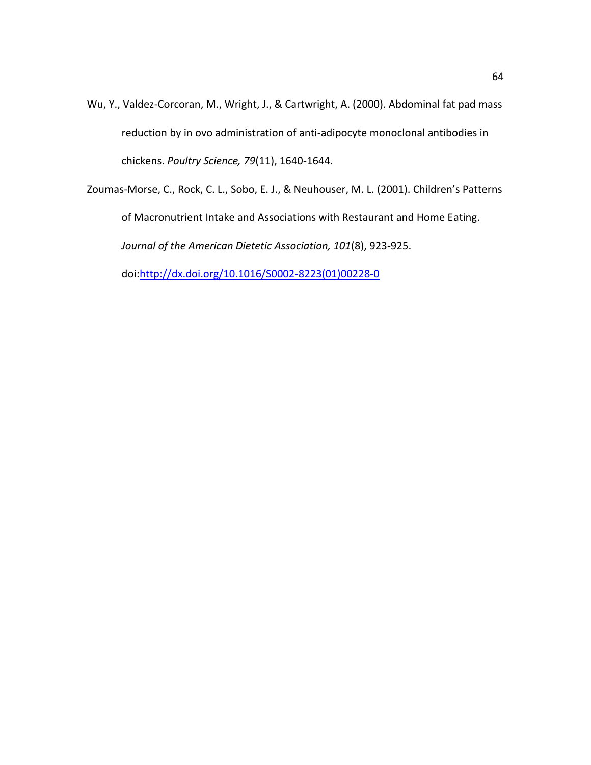- Wu, Y., Valdez-Corcoran, M., Wright, J., & Cartwright, A. (2000). Abdominal fat pad mass reduction by in ovo administration of anti-adipocyte monoclonal antibodies in chickens. *Poultry Science, 79*(11), 1640-1644.
- Zoumas-Morse, C., Rock, C. L., Sobo, E. J., & Neuhouser, M. L. (2001). Children's Patterns of Macronutrient Intake and Associations with Restaurant and Home Eating. *Journal of the American Dietetic Association, 101*(8), 923-925.

doi[:http://dx.doi.org/10.1016/S0002-8223\(01\)00228-0](http://dx.doi.org/10.1016/S0002-8223(01)00228-0)